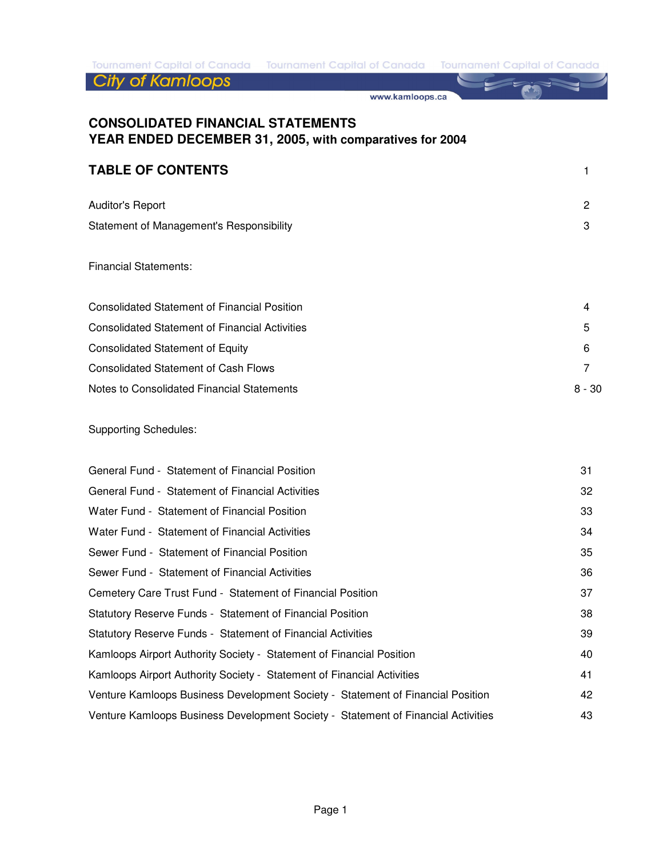Tournament Capital of Canada Tournament Capital of Canada Tournament Capital of Canada

**City of Kamloops** 

www.kamloops.ca

## **CONSOLIDATED FINANCIAL STATEMENTS YEAR ENDED DECEMBER 31, 2005, with comparatives for 2004**

### **TABLE OF CONTENTS** 1

| <b>Auditor's Report</b>                  | 2 |
|------------------------------------------|---|
| Statement of Management's Responsibility | 3 |

#### Financial Statements:

| Consolidated Statement of Financial Position          | 4      |
|-------------------------------------------------------|--------|
| <b>Consolidated Statement of Financial Activities</b> | 5      |
| <b>Consolidated Statement of Equity</b>               | 6      |
| Consolidated Statement of Cash Flows                  |        |
| Notes to Consolidated Financial Statements            | 8 - 30 |

#### Supporting Schedules:

| General Fund - Statement of Financial Position                                    | 31 |
|-----------------------------------------------------------------------------------|----|
| General Fund - Statement of Financial Activities                                  | 32 |
| Water Fund - Statement of Financial Position                                      | 33 |
| Water Fund - Statement of Financial Activities                                    | 34 |
| Sewer Fund - Statement of Financial Position                                      | 35 |
| Sewer Fund - Statement of Financial Activities                                    | 36 |
| Cemetery Care Trust Fund - Statement of Financial Position                        | 37 |
| Statutory Reserve Funds - Statement of Financial Position                         | 38 |
| Statutory Reserve Funds - Statement of Financial Activities                       | 39 |
| Kamloops Airport Authority Society - Statement of Financial Position              | 40 |
| Kamloops Airport Authority Society - Statement of Financial Activities            | 41 |
| Venture Kamloops Business Development Society - Statement of Financial Position   | 42 |
| Venture Kamloops Business Development Society - Statement of Financial Activities | 43 |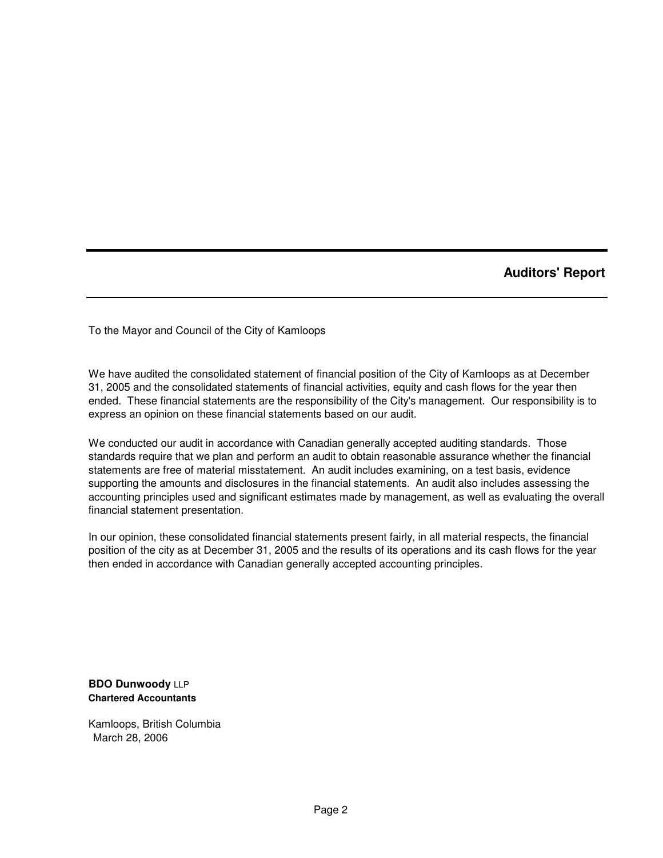**Auditors' Report**

To the Mayor and Council of the City of Kamloops

We have audited the consolidated statement of financial position of the City of Kamloops as at December 31, 2005 and the consolidated statements of financial activities, equity and cash flows for the year then ended. These financial statements are the responsibility of the City's management. Our responsibility is to express an opinion on these financial statements based on our audit.

We conducted our audit in accordance with Canadian generally accepted auditing standards. Those standards require that we plan and perform an audit to obtain reasonable assurance whether the financial statements are free of material misstatement. An audit includes examining, on a test basis, evidence supporting the amounts and disclosures in the financial statements. An audit also includes assessing the accounting principles used and significant estimates made by management, as well as evaluating the overall financial statement presentation.

In our opinion, these consolidated financial statements present fairly, in all material respects, the financial position of the city as at December 31, 2005 and the results of its operations and its cash flows for the year then ended in accordance with Canadian generally accepted accounting principles.

**BDO Dunwoody** LLP **Chartered Accountants**

Kamloops, British Columbia March 28, 2006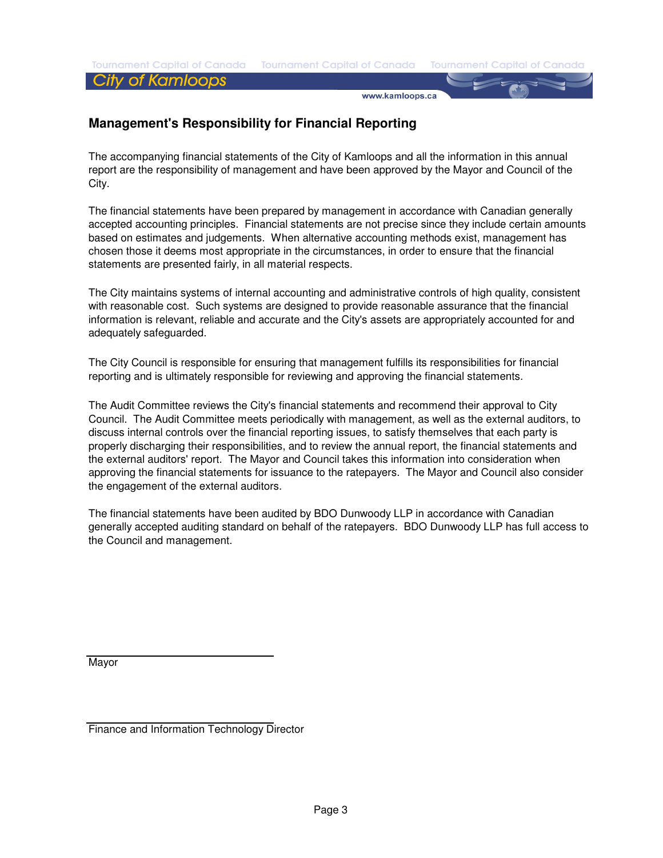**Tournament Capital of Canada** 

www.kamloops.ca

## **Management's Responsibility for Financial Reporting**

The accompanying financial statements of the City of Kamloops and all the information in this annual report are the responsibility of management and have been approved by the Mayor and Council of the City.

The financial statements have been prepared by management in accordance with Canadian generally accepted accounting principles. Financial statements are not precise since they include certain amounts based on estimates and judgements. When alternative accounting methods exist, management has chosen those it deems most appropriate in the circumstances, in order to ensure that the financial statements are presented fairly, in all material respects.

The City maintains systems of internal accounting and administrative controls of high quality, consistent with reasonable cost. Such systems are designed to provide reasonable assurance that the financial information is relevant, reliable and accurate and the City's assets are appropriately accounted for and adequately safeguarded.

The City Council is responsible for ensuring that management fulfills its responsibilities for financial reporting and is ultimately responsible for reviewing and approving the financial statements.

The Audit Committee reviews the City's financial statements and recommend their approval to City Council. The Audit Committee meets periodically with management, as well as the external auditors, to discuss internal controls over the financial reporting issues, to satisfy themselves that each party is properly discharging their responsibilities, and to review the annual report, the financial statements and the external auditors' report. The Mayor and Council takes this information into consideration when approving the financial statements for issuance to the ratepayers. The Mayor and Council also consider the engagement of the external auditors.

The financial statements have been audited by BDO Dunwoody LLP in accordance with Canadian generally accepted auditing standard on behalf of the ratepayers. BDO Dunwoody LLP has full access to the Council and management.

Mayor

Finance and Information Technology Director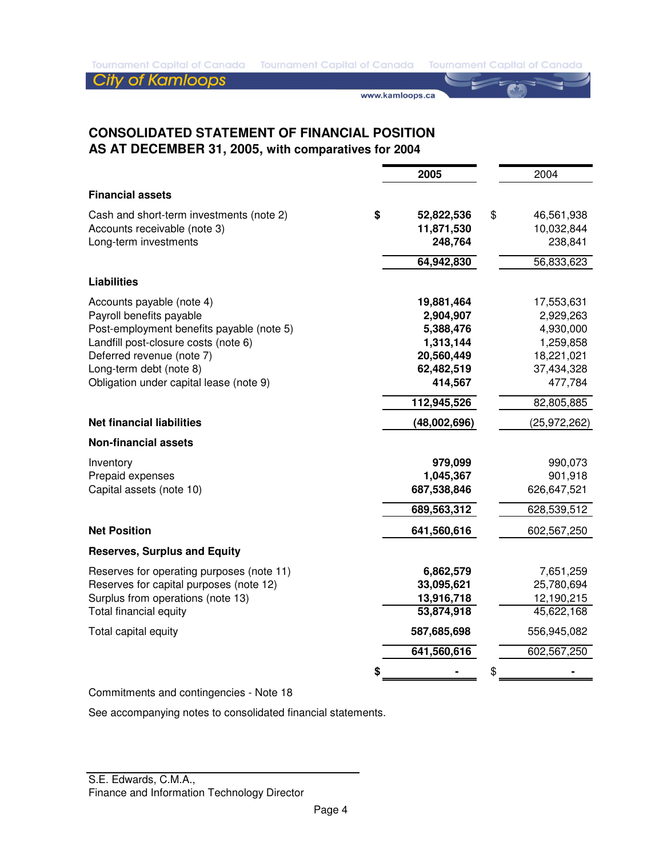www.kamloops.ca

## **CONSOLIDATED STATEMENT OF FINANCIAL POSITION AS AT DECEMBER 31, 2005, with comparatives for 2004**

|                                                                                                                                                                             | 2005                                                                              | 2004                                                                              |
|-----------------------------------------------------------------------------------------------------------------------------------------------------------------------------|-----------------------------------------------------------------------------------|-----------------------------------------------------------------------------------|
| <b>Financial assets</b>                                                                                                                                                     |                                                                                   |                                                                                   |
| Cash and short-term investments (note 2)<br>Accounts receivable (note 3)<br>Long-term investments                                                                           | \$<br>52,822,536<br>11,871,530<br>248,764                                         | \$<br>46,561,938<br>10,032,844<br>238,841                                         |
|                                                                                                                                                                             | 64,942,830                                                                        | 56,833,623                                                                        |
| <b>Liabilities</b>                                                                                                                                                          |                                                                                   |                                                                                   |
| Accounts payable (note 4)<br>Payroll benefits payable<br>Post-employment benefits payable (note 5)                                                                          | 19,881,464<br>2,904,907<br>5,388,476                                              | 17,553,631<br>2,929,263<br>4,930,000                                              |
| Landfill post-closure costs (note 6)                                                                                                                                        | 1,313,144                                                                         | 1,259,858                                                                         |
| Deferred revenue (note 7)<br>Long-term debt (note 8)<br>Obligation under capital lease (note 9)                                                                             | 20,560,449<br>62,482,519<br>414,567                                               | 18,221,021<br>37,434,328<br>477,784                                               |
|                                                                                                                                                                             | 112,945,526                                                                       | 82,805,885                                                                        |
| <b>Net financial liabilities</b>                                                                                                                                            | (48,002,696)                                                                      | (25, 972, 262)                                                                    |
| <b>Non-financial assets</b>                                                                                                                                                 |                                                                                   |                                                                                   |
| Inventory<br>Prepaid expenses<br>Capital assets (note 10)                                                                                                                   | 979,099<br>1,045,367<br>687,538,846                                               | 990,073<br>901,918<br>626,647,521                                                 |
|                                                                                                                                                                             | 689,563,312                                                                       | 628,539,512                                                                       |
| <b>Net Position</b>                                                                                                                                                         | 641,560,616                                                                       | 602,567,250                                                                       |
| <b>Reserves, Surplus and Equity</b>                                                                                                                                         |                                                                                   |                                                                                   |
| Reserves for operating purposes (note 11)<br>Reserves for capital purposes (note 12)<br>Surplus from operations (note 13)<br>Total financial equity<br>Total capital equity | 6,862,579<br>33,095,621<br>13,916,718<br>53,874,918<br>587,685,698<br>641,560,616 | 7,651,259<br>25,780,694<br>12,190,215<br>45,622,168<br>556,945,082<br>602,567,250 |
|                                                                                                                                                                             |                                                                                   | \$                                                                                |
|                                                                                                                                                                             |                                                                                   |                                                                                   |

Commitments and contingencies - Note 18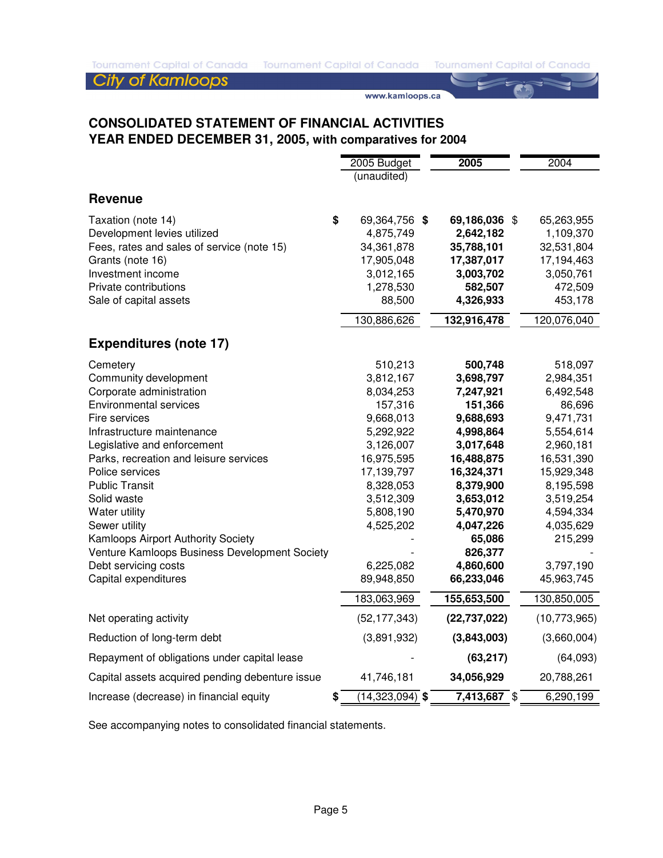www.kamloops.ca

## **CONSOLIDATED STATEMENT OF FINANCIAL ACTIVITIES YEAR ENDED DECEMBER 31, 2005, with comparatives for 2004**

|                                                 | 2005 Budget                  | 2005                   | 2004                   |
|-------------------------------------------------|------------------------------|------------------------|------------------------|
|                                                 | (unaudited)                  |                        |                        |
| <b>Revenue</b>                                  |                              |                        |                        |
| \$<br>Taxation (note 14)                        | 69,364,756 \$                | 69,186,036 \$          | 65,263,955             |
| Development levies utilized                     | 4,875,749                    | 2,642,182              | 1,109,370              |
| Fees, rates and sales of service (note 15)      | 34, 361, 878                 | 35,788,101             | 32,531,804             |
| Grants (note 16)                                | 17,905,048                   | 17,387,017             | 17,194,463             |
| Investment income                               | 3,012,165                    | 3,003,702              | 3,050,761              |
| Private contributions                           | 1,278,530                    | 582,507                | 472,509                |
| Sale of capital assets                          | 88,500                       | 4,326,933              | 453,178                |
|                                                 | 130,886,626                  | 132,916,478            | 120,076,040            |
| <b>Expenditures (note 17)</b>                   |                              |                        |                        |
| Cemetery                                        | 510,213                      | 500,748                | 518,097                |
| Community development                           | 3,812,167                    | 3,698,797              | 2,984,351              |
| Corporate administration                        | 8,034,253                    | 7,247,921              | 6,492,548              |
| <b>Environmental services</b>                   | 157,316                      | 151,366                | 86,696                 |
| Fire services                                   | 9,668,013                    | 9,688,693              | 9,471,731              |
| Infrastructure maintenance                      | 5,292,922                    | 4,998,864              | 5,554,614              |
| Legislative and enforcement                     | 3,126,007                    | 3,017,648              | 2,960,181              |
| Parks, recreation and leisure services          | 16,975,595                   | 16,488,875             | 16,531,390             |
| Police services                                 | 17,139,797                   | 16,324,371             | 15,929,348             |
| <b>Public Transit</b>                           | 8,328,053                    | 8,379,900              | 8,195,598              |
| Solid waste<br>Water utility                    | 3,512,309<br>5,808,190       | 3,653,012<br>5,470,970 | 3,519,254<br>4,594,334 |
| Sewer utility                                   | 4,525,202                    | 4,047,226              | 4,035,629              |
| Kamloops Airport Authority Society              |                              | 65,086                 | 215,299                |
| Venture Kamloops Business Development Society   |                              | 826,377                |                        |
| Debt servicing costs                            | 6,225,082                    | 4,860,600              | 3,797,190              |
| Capital expenditures                            | 89,948,850                   | 66,233,046             | 45,963,745             |
|                                                 | 183,063,969                  | 155,653,500            | 130,850,005            |
| Net operating activity                          | (52, 177, 343)               | (22, 737, 022)         | (10,773,965)           |
| Reduction of long-term debt                     | (3,891,932)                  | (3,843,003)            | (3,660,004)            |
| Repayment of obligations under capital lease    |                              | (63, 217)              | (64,093)               |
| Capital assets acquired pending debenture issue | 41,746,181                   | 34,056,929             | 20,788,261             |
| \$<br>Increase (decrease) in financial equity   | $\overline{(14,323,094)}$ \$ | $7,413,687$ \$         | 6,290,199              |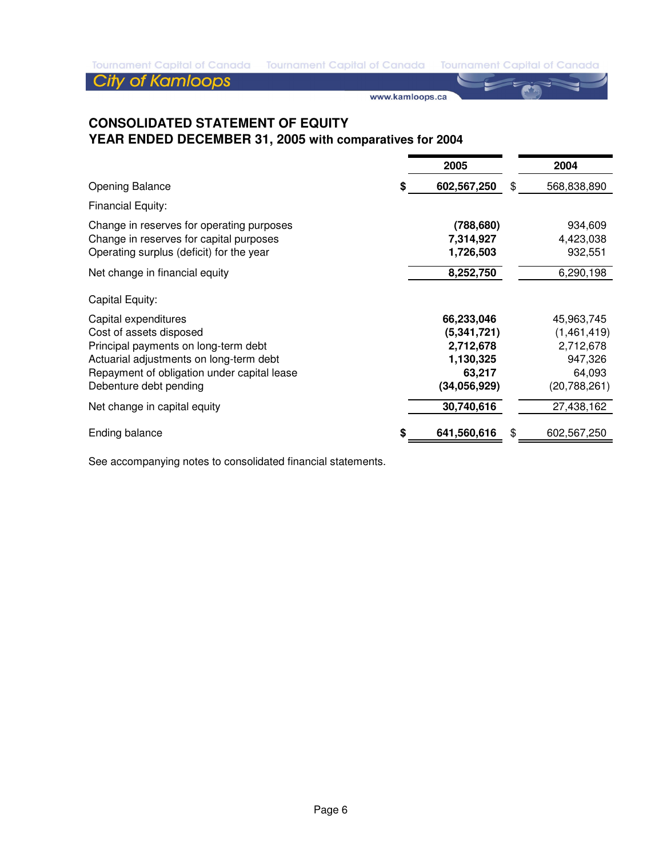www.kamloops.ca

## **CONSOLIDATED STATEMENT OF EQUITY YEAR ENDED DECEMBER 31, 2005 with comparatives for 2004**

|                                             | 2005          | 2004              |
|---------------------------------------------|---------------|-------------------|
| <b>Opening Balance</b>                      | 602,567,250   | \$<br>568,838,890 |
| <b>Financial Equity:</b>                    |               |                   |
| Change in reserves for operating purposes   | (788, 680)    | 934,609           |
| Change in reserves for capital purposes     | 7,314,927     | 4,423,038         |
| Operating surplus (deficit) for the year    | 1,726,503     | 932,551           |
| Net change in financial equity              | 8,252,750     | 6,290,198         |
| Capital Equity:                             |               |                   |
| Capital expenditures                        | 66,233,046    | 45,963,745        |
| Cost of assets disposed                     | (5, 341, 721) | (1,461,419)       |
| Principal payments on long-term debt        | 2,712,678     | 2,712,678         |
| Actuarial adjustments on long-term debt     | 1,130,325     | 947,326           |
| Repayment of obligation under capital lease | 63,217        | 64,093            |
| Debenture debt pending                      | (34,056,929)  | (20, 788, 261)    |
| Net change in capital equity                | 30,740,616    | 27,438,162        |
| <b>Ending balance</b>                       | 641,560,616   | \$<br>602,567,250 |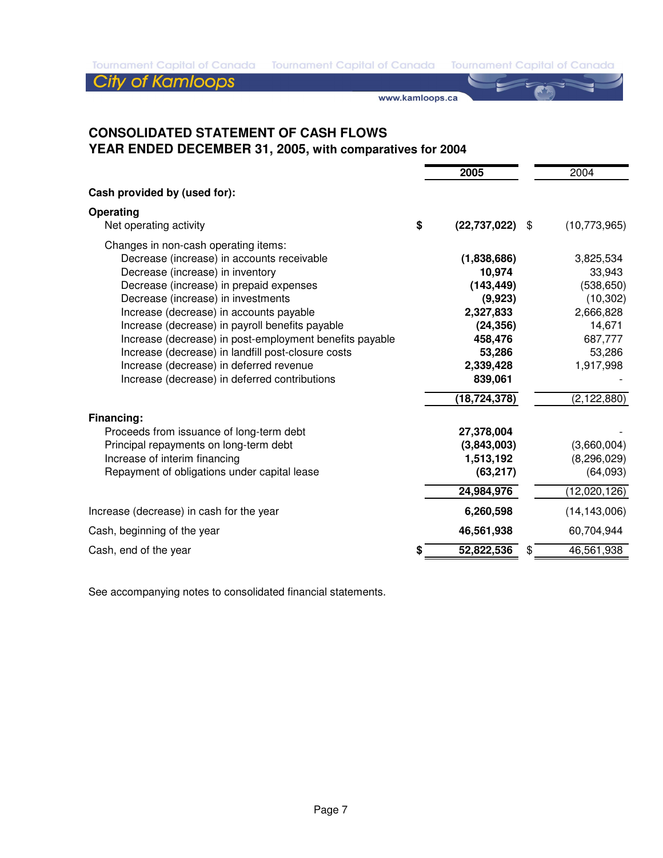Tournament Capital of Canada Tournament Capital of Canada Tournament Capital of Canada

**City of Kamloops** 

www.kamloops.ca

## **CONSOLIDATED STATEMENT OF CASH FLOWS YEAR ENDED DECEMBER 31, 2005, with comparatives for 2004**

|                                                                                                                                                                                                                                                                                                                                                                                                                                                                                                                    |    | 2005                                                                                                                                    | 2004                                                                                                                     |
|--------------------------------------------------------------------------------------------------------------------------------------------------------------------------------------------------------------------------------------------------------------------------------------------------------------------------------------------------------------------------------------------------------------------------------------------------------------------------------------------------------------------|----|-----------------------------------------------------------------------------------------------------------------------------------------|--------------------------------------------------------------------------------------------------------------------------|
| Cash provided by (used for):                                                                                                                                                                                                                                                                                                                                                                                                                                                                                       |    |                                                                                                                                         |                                                                                                                          |
| Operating<br>Net operating activity                                                                                                                                                                                                                                                                                                                                                                                                                                                                                | \$ | (22, 737, 022)                                                                                                                          | \$<br>(10, 773, 965)                                                                                                     |
| Changes in non-cash operating items:<br>Decrease (increase) in accounts receivable<br>Decrease (increase) in inventory<br>Decrease (increase) in prepaid expenses<br>Decrease (increase) in investments<br>Increase (decrease) in accounts payable<br>Increase (decrease) in payroll benefits payable<br>Increase (decrease) in post-employment benefits payable<br>Increase (decrease) in landfill post-closure costs<br>Increase (decrease) in deferred revenue<br>Increase (decrease) in deferred contributions |    | (1,838,686)<br>10,974<br>(143, 449)<br>(9,923)<br>2,327,833<br>(24, 356)<br>458,476<br>53,286<br>2,339,428<br>839,061<br>(18, 724, 378) | 3,825,534<br>33,943<br>(538, 650)<br>(10, 302)<br>2,666,828<br>14,671<br>687,777<br>53,286<br>1,917,998<br>(2, 122, 880) |
| Financing:<br>Proceeds from issuance of long-term debt<br>Principal repayments on long-term debt<br>Increase of interim financing<br>Repayment of obligations under capital lease                                                                                                                                                                                                                                                                                                                                  |    | 27,378,004<br>(3,843,003)<br>1,513,192<br>(63, 217)<br>24,984,976                                                                       | (3,660,004)<br>(8, 296, 029)<br>(64,093)<br>(12,020,126)                                                                 |
| Increase (decrease) in cash for the year                                                                                                                                                                                                                                                                                                                                                                                                                                                                           |    | 6,260,598                                                                                                                               | (14, 143, 006)                                                                                                           |
| Cash, beginning of the year                                                                                                                                                                                                                                                                                                                                                                                                                                                                                        |    | 46,561,938                                                                                                                              | 60,704,944                                                                                                               |
| Cash, end of the year                                                                                                                                                                                                                                                                                                                                                                                                                                                                                              | S  | 52,822,536                                                                                                                              | 46,561,938                                                                                                               |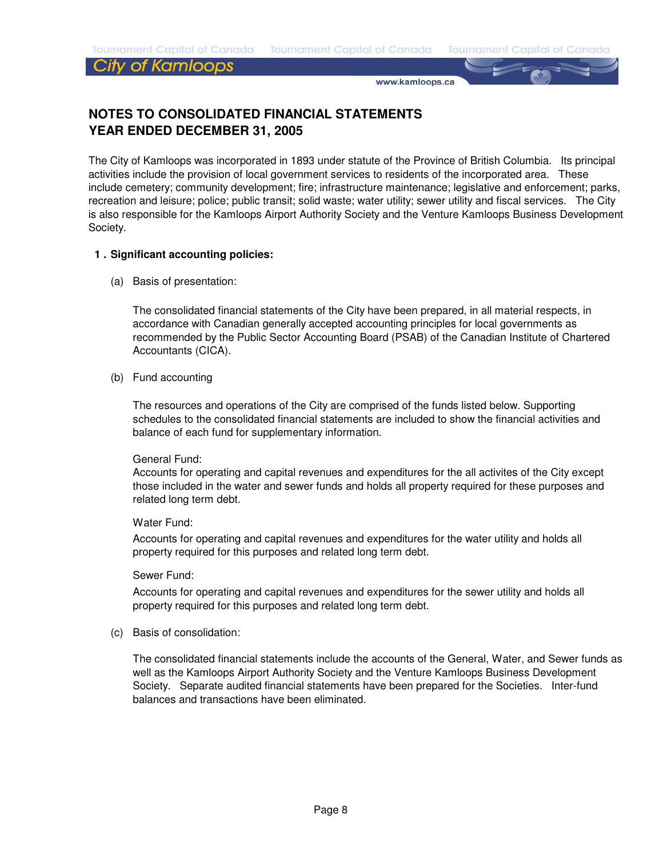## **City of Kamloops**

www.kamloops.ca

## **NOTES TO CONSOLIDATED FINANCIAL STATEMENTS YEAR ENDED DECEMBER 31, 2005**

The City of Kamloops was incorporated in 1893 under statute of the Province of British Columbia. Its principal activities include the provision of local government services to residents of the incorporated area. These include cemetery; community development; fire; infrastructure maintenance; legislative and enforcement; parks, recreation and leisure; police; public transit; solid waste; water utility; sewer utility and fiscal services. The City is also responsible for the Kamloops Airport Authority Society and the Venture Kamloops Business Development Society.

#### **1 . Significant accounting policies:**

(a) Basis of presentation:

The consolidated financial statements of the City have been prepared, in all material respects, in accordance with Canadian generally accepted accounting principles for local governments as recommended by the Public Sector Accounting Board (PSAB) of the Canadian Institute of Chartered Accountants (CICA).

(b) Fund accounting

The resources and operations of the City are comprised of the funds listed below. Supporting schedules to the consolidated financial statements are included to show the financial activities and balance of each fund for supplementary information.

#### General Fund:

Accounts for operating and capital revenues and expenditures for the all activites of the City except those included in the water and sewer funds and holds all property required for these purposes and related long term debt.

#### Water Fund:

Accounts for operating and capital revenues and expenditures for the water utility and holds all property required for this purposes and related long term debt.

#### Sewer Fund:

Accounts for operating and capital revenues and expenditures for the sewer utility and holds all property required for this purposes and related long term debt.

(c) Basis of consolidation:

The consolidated financial statements include the accounts of the General, Water, and Sewer funds as well as the Kamloops Airport Authority Society and the Venture Kamloops Business Development Society. Separate audited financial statements have been prepared for the Societies. Inter-fund balances and transactions have been eliminated.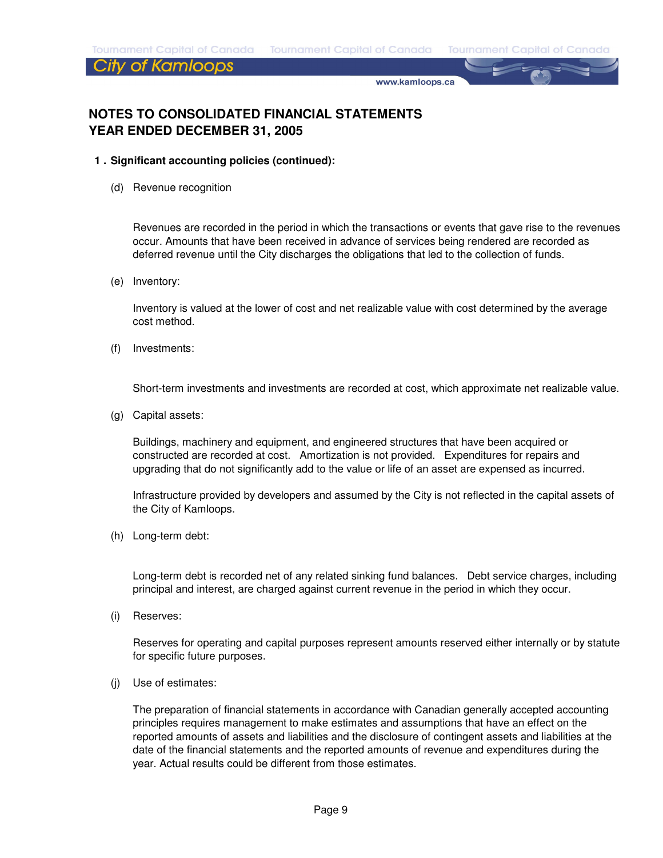### City of Kamloops

www.kamloops.ca

## **NOTES TO CONSOLIDATED FINANCIAL STATEMENTS YEAR ENDED DECEMBER 31, 2005**

- **1 . Significant accounting policies (continued):**
	- (d) Revenue recognition

Revenues are recorded in the period in which the transactions or events that gave rise to the revenues occur. Amounts that have been received in advance of services being rendered are recorded as deferred revenue until the City discharges the obligations that led to the collection of funds.

(e) Inventory:

Inventory is valued at the lower of cost and net realizable value with cost determined by the average cost method.

(f) Investments:

Short-term investments and investments are recorded at cost, which approximate net realizable value.

(g) Capital assets:

Buildings, machinery and equipment, and engineered structures that have been acquired or constructed are recorded at cost. Amortization is not provided. Expenditures for repairs and upgrading that do not significantly add to the value or life of an asset are expensed as incurred.

Infrastructure provided by developers and assumed by the City is not reflected in the capital assets of the City of Kamloops.

(h) Long-term debt:

Long-term debt is recorded net of any related sinking fund balances. Debt service charges, including principal and interest, are charged against current revenue in the period in which they occur.

(i) Reserves:

Reserves for operating and capital purposes represent amounts reserved either internally or by statute for specific future purposes.

(j) Use of estimates:

The preparation of financial statements in accordance with Canadian generally accepted accounting principles requires management to make estimates and assumptions that have an effect on the reported amounts of assets and liabilities and the disclosure of contingent assets and liabilities at the date of the financial statements and the reported amounts of revenue and expenditures during the year. Actual results could be different from those estimates.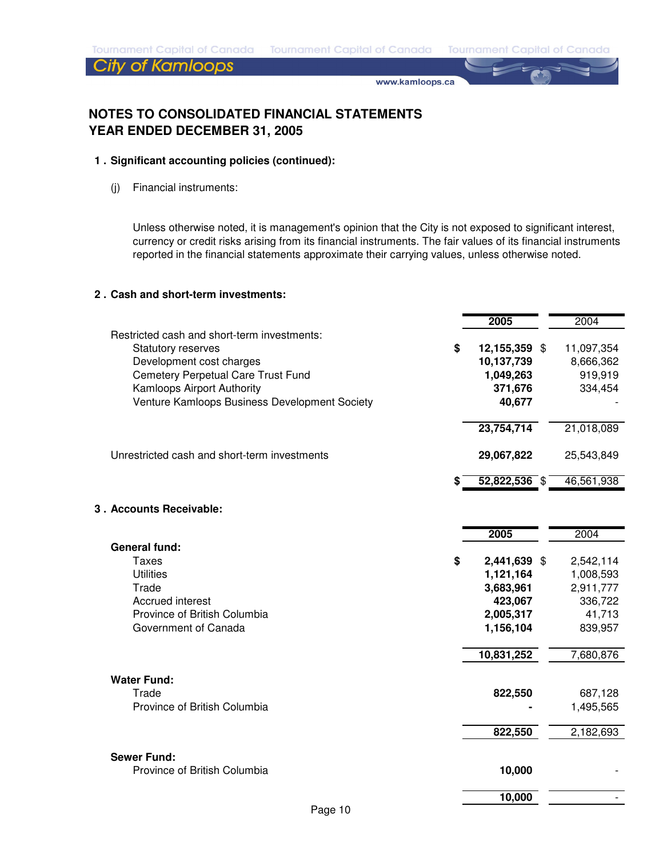www.kamloops.ca

## **NOTES TO CONSOLIDATED FINANCIAL STATEMENTS YEAR ENDED DECEMBER 31, 2005**

#### **1 . Significant accounting policies (continued):**

(j) Financial instruments:

Unless otherwise noted, it is management's opinion that the City is not exposed to significant interest, currency or credit risks arising from its financial instruments. The fair values of its financial instruments reported in the financial statements approximate their carrying values, unless otherwise noted.

#### **2 . Cash and short-term investments:**

|                                                                                                                                                                                                                    | 2005                                                                                            | 2004                                                                             |
|--------------------------------------------------------------------------------------------------------------------------------------------------------------------------------------------------------------------|-------------------------------------------------------------------------------------------------|----------------------------------------------------------------------------------|
| Restricted cash and short-term investments:<br>Statutory reserves<br>Development cost charges<br>Cemetery Perpetual Care Trust Fund<br>Kamloops Airport Authority<br>Venture Kamloops Business Development Society | \$<br>12,155,359 \$<br>10,137,739<br>1,049,263<br>371,676<br>40,677                             | 11,097,354<br>8,666,362<br>919,919<br>334,454                                    |
| Unrestricted cash and short-term investments                                                                                                                                                                       | 23,754,714<br>29,067,822                                                                        | 21,018,089<br>25,543,849                                                         |
|                                                                                                                                                                                                                    | $52,822,536$ \$                                                                                 | 46,561,938                                                                       |
| 3. Accounts Receivable:                                                                                                                                                                                            |                                                                                                 |                                                                                  |
|                                                                                                                                                                                                                    | 2005                                                                                            | 2004                                                                             |
| <b>General fund:</b><br><b>Taxes</b><br><b>Utilities</b><br>Trade<br>Accrued interest<br>Province of British Columbia<br>Government of Canada                                                                      | \$<br>2,441,639 \$<br>1,121,164<br>3,683,961<br>423,067<br>2,005,317<br>1,156,104<br>10,831,252 | 2,542,114<br>1,008,593<br>2,911,777<br>336,722<br>41,713<br>839,957<br>7,680,876 |
| <b>Water Fund:</b><br>Trade<br>Province of British Columbia                                                                                                                                                        | 822,550<br>822,550                                                                              | 687,128<br>1,495,565<br>2,182,693                                                |
|                                                                                                                                                                                                                    |                                                                                                 |                                                                                  |
| <b>Sewer Fund:</b><br>Province of British Columbia                                                                                                                                                                 | 10,000                                                                                          |                                                                                  |
|                                                                                                                                                                                                                    | 10,000                                                                                          |                                                                                  |
| Page 10                                                                                                                                                                                                            |                                                                                                 |                                                                                  |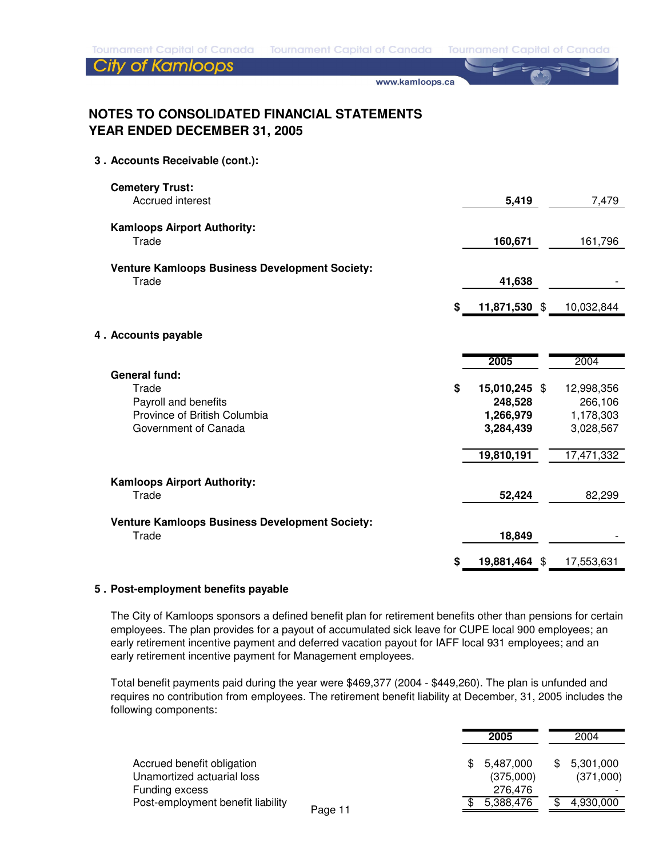Tournament Capital of Canada Tournament Capital of Canada Tournament Capital of Canada

## **City of Kamloops**

www.kamloops.ca

## **NOTES TO CONSOLIDATED FINANCIAL STATEMENTS YEAR ENDED DECEMBER 31, 2005**

#### **3 . Accounts Receivable (cont.):**

| <b>Cemetery Trust:</b>                                |    |               |            |
|-------------------------------------------------------|----|---------------|------------|
| Accrued interest                                      |    | 5,419         | 7,479      |
| <b>Kamloops Airport Authority:</b>                    |    |               |            |
| Trade                                                 |    | 160,671       | 161,796    |
| <b>Venture Kamloops Business Development Society:</b> |    |               |            |
| Trade                                                 |    | 41,638        |            |
|                                                       | \$ | 11,871,530 \$ | 10,032,844 |
| 4. Accounts payable                                   |    |               |            |
|                                                       |    | 2005          | 2004       |
| <b>General fund:</b><br>Trade                         | \$ | 15,010,245 \$ | 12,998,356 |
| Payroll and benefits                                  |    | 248,528       | 266,106    |
| Province of British Columbia                          |    | 1,266,979     | 1,178,303  |
| Government of Canada                                  |    | 3,284,439     | 3,028,567  |
|                                                       |    | 19,810,191    | 17,471,332 |
| <b>Kamloops Airport Authority:</b>                    |    |               |            |
| Trade                                                 |    | 52,424        | 82,299     |
| <b>Venture Kamloops Business Development Society:</b> |    |               |            |
| Trade                                                 |    | 18,849        |            |
|                                                       | S  | 19,881,464 \$ | 17,553,631 |

#### **5 . Post-employment benefits payable**

The City of Kamloops sponsors a defined benefit plan for retirement benefits other than pensions for certain employees. The plan provides for a payout of accumulated sick leave for CUPE local 900 employees; an early retirement incentive payment and deferred vacation payout for IAFF local 931 employees; and an early retirement incentive payment for Management employees.

Total benefit payments paid during the year were \$469,377 (2004 - \$449,260). The plan is unfunded and requires no contribution from employees. The retirement benefit liability at December, 31, 2005 includes the following components:

|                                              | 2005             | 2004      |
|----------------------------------------------|------------------|-----------|
| Accrued benefit obligation                   | 5,487,000<br>\$. | 5,301,000 |
| Unamortized actuarial loss                   | (375,000)        | (371,000) |
| Funding excess                               | 276.476          |           |
| Post-employment benefit liability<br>Page 11 | 5,388,476        | 4,930,000 |
|                                              |                  |           |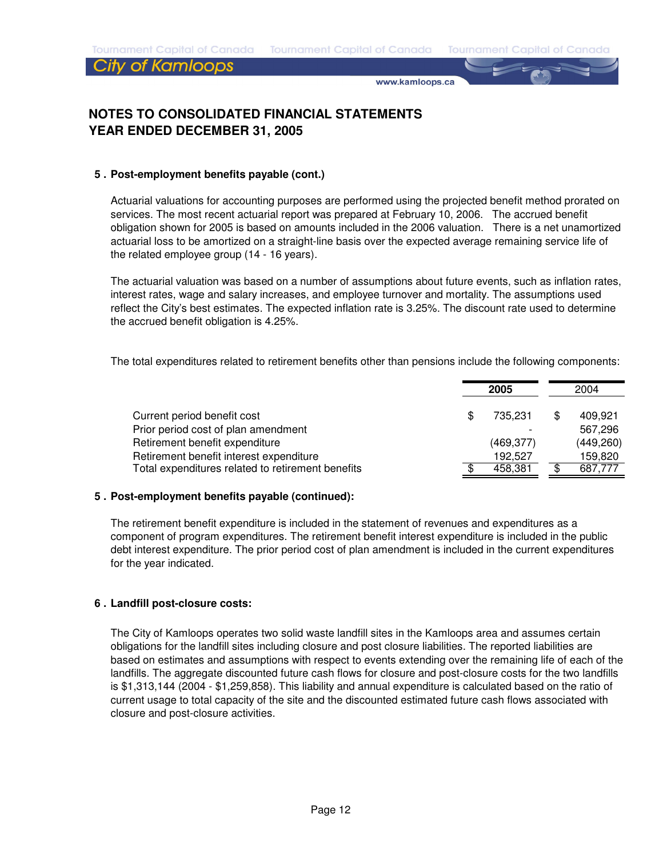### City of Kamloops

www.kamloops.ca

## **NOTES TO CONSOLIDATED FINANCIAL STATEMENTS YEAR ENDED DECEMBER 31, 2005**

#### **5 . Post-employment benefits payable (cont.)**

Actuarial valuations for accounting purposes are performed using the projected benefit method prorated on services. The most recent actuarial report was prepared at February 10, 2006. The accrued benefit obligation shown for 2005 is based on amounts included in the 2006 valuation. There is a net unamortized actuarial loss to be amortized on a straight-line basis over the expected average remaining service life of the related employee group (14 - 16 years).

The actuarial valuation was based on a number of assumptions about future events, such as inflation rates, interest rates, wage and salary increases, and employee turnover and mortality. The assumptions used reflect the City's best estimates. The expected inflation rate is 3.25%. The discount rate used to determine the accrued benefit obligation is 4.25%.

The total expenditures related to retirement benefits other than pensions include the following components:

|                                                   | 2005 |            |  | 2004       |
|---------------------------------------------------|------|------------|--|------------|
| Current period benefit cost                       |      | 735.231    |  | 409.921    |
| Prior period cost of plan amendment               |      |            |  | 567.296    |
| Retirement benefit expenditure                    |      | (469, 377) |  | (449, 260) |
| Retirement benefit interest expenditure           |      | 192.527    |  | 159,820    |
| Total expenditures related to retirement benefits |      | 458.381    |  | 687,777    |

#### **5 . Post-employment benefits payable (continued):**

The retirement benefit expenditure is included in the statement of revenues and expenditures as a component of program expenditures. The retirement benefit interest expenditure is included in the public debt interest expenditure. The prior period cost of plan amendment is included in the current expenditures for the year indicated.

#### **6 . Landfill post-closure costs:**

The City of Kamloops operates two solid waste landfill sites in the Kamloops area and assumes certain obligations for the landfill sites including closure and post closure liabilities. The reported liabilities are based on estimates and assumptions with respect to events extending over the remaining life of each of the landfills. The aggregate discounted future cash flows for closure and post-closure costs for the two landfills is \$1,313,144 (2004 - \$1,259,858). This liability and annual expenditure is calculated based on the ratio of current usage to total capacity of the site and the discounted estimated future cash flows associated with closure and post-closure activities.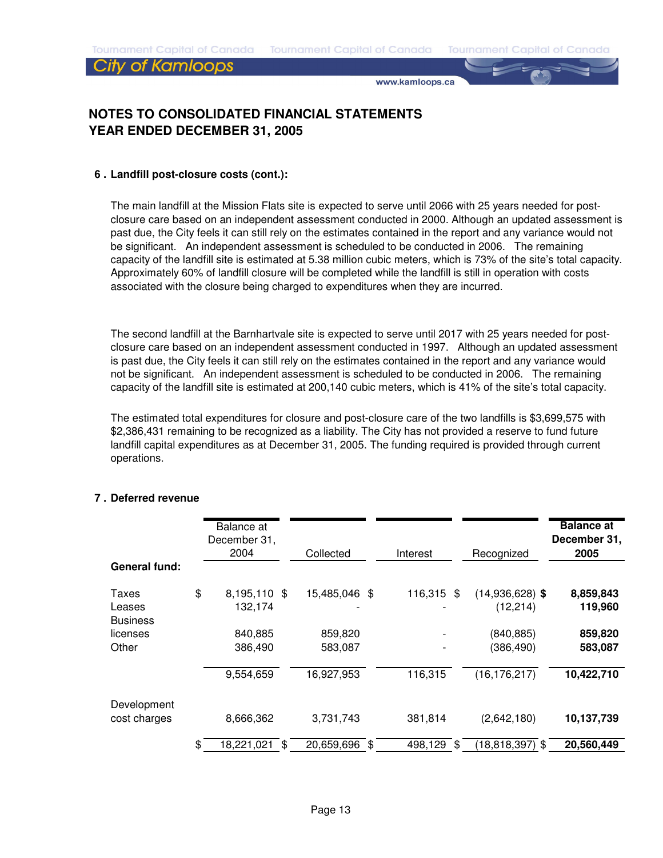#### City of Kamloops

www.kamloops.ca

## **NOTES TO CONSOLIDATED FINANCIAL STATEMENTS YEAR ENDED DECEMBER 31, 2005**

#### **6 . Landfill post-closure costs (cont.):**

The main landfill at the Mission Flats site is expected to serve until 2066 with 25 years needed for postclosure care based on an independent assessment conducted in 2000. Although an updated assessment is past due, the City feels it can still rely on the estimates contained in the report and any variance would not be significant. An independent assessment is scheduled to be conducted in 2006. The remaining capacity of the landfill site is estimated at 5.38 million cubic meters, which is 73% of the site's total capacity. Approximately 60% of landfill closure will be completed while the landfill is still in operation with costs associated with the closure being charged to expenditures when they are incurred.

The second landfill at the Barnhartvale site is expected to serve until 2017 with 25 years needed for postclosure care based on an independent assessment conducted in 1997. Although an updated assessment is past due, the City feels it can still rely on the estimates contained in the report and any variance would not be significant. An independent assessment is scheduled to be conducted in 2006. The remaining capacity of the landfill site is estimated at 200,140 cubic meters, which is 41% of the site's total capacity.

The estimated total expenditures for closure and post-closure care of the two landfills is \$3,699,575 with \$2,386,431 remaining to be recognized as a liability. The City has not provided a reserve to fund future landfill capital expenditures as at December 31, 2005. The funding required is provided through current operations.

| <b>General fund:</b>               | Balance at<br>December 31,<br>2004 | Collected          | Interest      | Recognized                     | <b>Balance at</b><br>December 31,<br>2005 |
|------------------------------------|------------------------------------|--------------------|---------------|--------------------------------|-------------------------------------------|
| Taxes<br>Leases<br><b>Business</b> | \$<br>8,195,110 \$<br>132.174      | 15,485,046 \$      | 116,315 \$    | $(14,936,628)$ \$<br>(12, 214) | 8,859,843<br>119,960                      |
| licenses<br>Other                  | 840,885<br>386,490                 | 859,820<br>583,087 |               | (840, 885)<br>(386, 490)       | 859,820<br>583,087                        |
|                                    | 9,554,659                          | 16,927,953         | 116,315       | (16, 176, 217)                 | 10,422,710                                |
| Development<br>cost charges        | 8,666,362                          | 3,731,743          | 381,814       | (2,642,180)                    | 10,137,739                                |
|                                    | \$<br>18,221,021 \$                | 20,659,696 \$      | 498,129<br>\$ | $(18, 818, 397)$ \$            | 20,560,449                                |

#### **7 . Deferred revenue**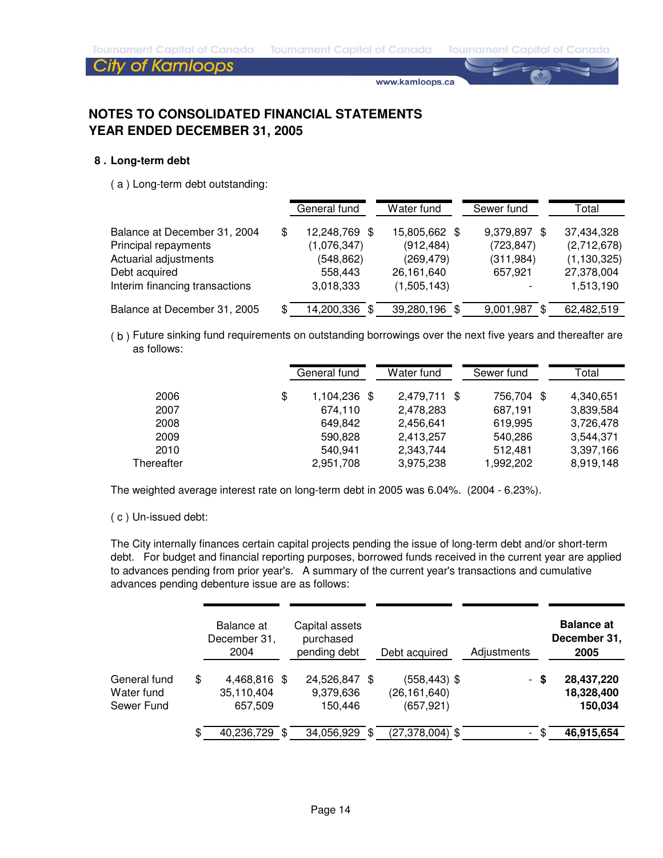## **City of Kamloops**

www.kamloops.ca

## **NOTES TO CONSOLIDATED FINANCIAL STATEMENTS YEAR ENDED DECEMBER 31, 2005**

#### **8 . Long-term debt**

( a ) Long-term debt outstanding:

|                                |   | General fund  | Water fund    | Sewer fund       | Total         |
|--------------------------------|---|---------------|---------------|------------------|---------------|
| Balance at December 31, 2004   | S | 12,248,769 \$ | 15,805,662 \$ | 9,379,897<br>-SS | 37,434,328    |
| Principal repayments           |   | (1,076,347)   | (912, 484)    | (723, 847)       | (2,712,678)   |
| Actuarial adjustments          |   | (548,862)     | (269, 479)    | (311, 984)       | (1, 130, 325) |
| Debt acquired                  |   | 558,443       | 26,161,640    | 657.921          | 27,378,004    |
| Interim financing transactions |   | 3,018,333     | (1,505,143)   |                  | 1,513,190     |
| Balance at December 31, 2005   |   | 14,200,336 \$ | 39,280,196 \$ | 9,001,987        | 62,482,519    |

( b ) Future sinking fund requirements on outstanding borrowings over the next five years and thereafter are as follows:

|            | General fund       | Water fund   | Sewer fund     | Total     |
|------------|--------------------|--------------|----------------|-----------|
| 2006       | \$<br>1,104,236 \$ | 2,479,711 \$ | 756,704<br>-SS | 4,340,651 |
| 2007       | 674,110            | 2,478,283    | 687,191        | 3,839,584 |
| 2008       | 649.842            | 2,456,641    | 619,995        | 3,726,478 |
| 2009       | 590,828            | 2,413,257    | 540,286        | 3,544,371 |
| 2010       | 540.941            | 2,343,744    | 512.481        | 3,397,166 |
| Thereafter | 2,951,708          | 3,975,238    | 1,992,202      | 8,919,148 |

The weighted average interest rate on long-term debt in 2005 was 6.04%. (2004 - 6.23%).

#### ( c ) Un-issued debt:

The City internally finances certain capital projects pending the issue of long-term debt and/or short-term debt. For budget and financial reporting purposes, borrowed funds received in the current year are applied to advances pending from prior year's. A summary of the current year's transactions and cumulative advances pending debenture issue are as follows:

|              | Balance at<br>December 31,<br>2004 |     | Capital assets<br>purchased<br>pending debt |      | Debt acquired       | Adjustments |    | <b>Balance at</b><br>December 31,<br>2005 |
|--------------|------------------------------------|-----|---------------------------------------------|------|---------------------|-------------|----|-------------------------------------------|
| General fund | \$<br>4,468,816 \$                 |     | 24,526,847 \$                               |      | $(558, 443)$ \$     | $\sim$      | -S | 28,437,220                                |
| Water fund   | 35,110,404                         |     | 9,379,636                                   |      | (26, 161, 640)      |             |    | 18,328,400                                |
| Sewer Fund   | 657,509                            |     | 150.446                                     |      | (657, 921)          |             |    | 150,034                                   |
|              | \$<br>40,236,729                   | \$. | 34,056,929                                  | - \$ | $(27, 378, 004)$ \$ |             |    | 46,915,654                                |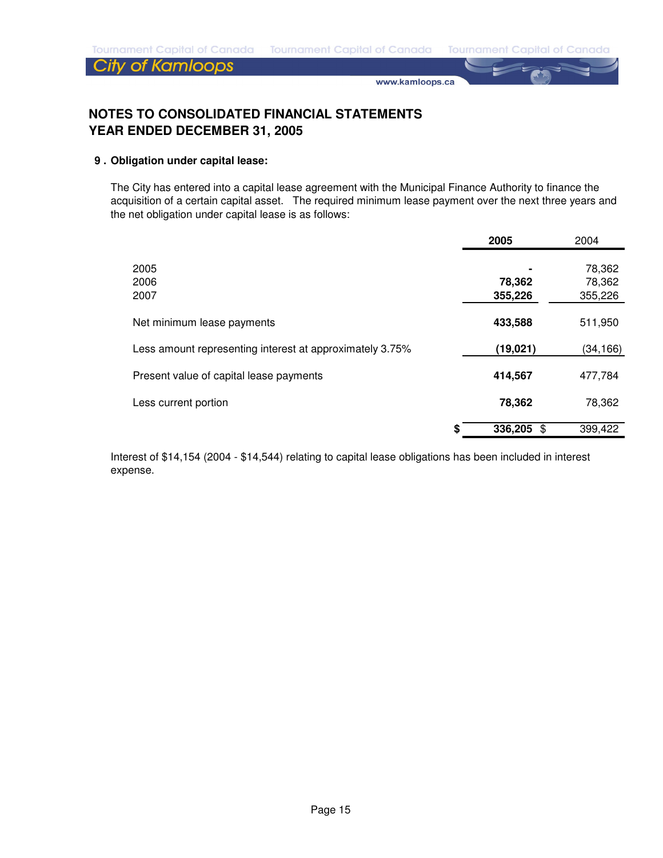www.kamloops.ca

## **NOTES TO CONSOLIDATED FINANCIAL STATEMENTS YEAR ENDED DECEMBER 31, 2005**

#### **9 . Obligation under capital lease:**

The City has entered into a capital lease agreement with the Municipal Finance Authority to finance the acquisition of a certain capital asset. The required minimum lease payment over the next three years and the net obligation under capital lease is as follows:

|                                                          | 2005               | 2004                        |
|----------------------------------------------------------|--------------------|-----------------------------|
| 2005<br>2006<br>2007                                     | 78,362<br>355,226  | 78,362<br>78,362<br>355,226 |
| Net minimum lease payments                               | 433,588            | 511,950                     |
| Less amount representing interest at approximately 3.75% | (19, 021)          | (34,166)                    |
| Present value of capital lease payments                  | 414,567            | 477,784                     |
| Less current portion                                     | 78,362             | 78,362                      |
|                                                          | 336,205<br>\$<br>S | 399,422                     |

Interest of \$14,154 (2004 - \$14,544) relating to capital lease obligations has been included in interest expense.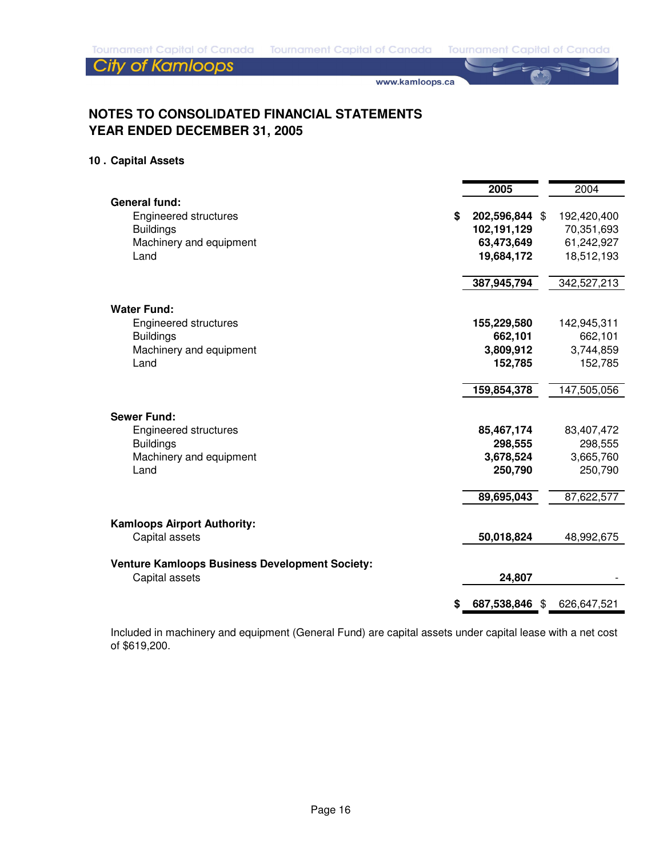www.kamloops.ca

## **NOTES TO CONSOLIDATED FINANCIAL STATEMENTS YEAR ENDED DECEMBER 31, 2005**

#### **10 . Capital Assets**

|                                                       | 2005                 | 2004        |
|-------------------------------------------------------|----------------------|-------------|
| <b>General fund:</b>                                  |                      |             |
| Engineered structures                                 | \$<br>202,596,844 \$ | 192,420,400 |
| <b>Buildings</b>                                      | 102,191,129          | 70,351,693  |
| Machinery and equipment                               | 63,473,649           | 61,242,927  |
| Land                                                  | 19,684,172           | 18,512,193  |
|                                                       | 387,945,794          | 342,527,213 |
| <b>Water Fund:</b>                                    |                      |             |
| Engineered structures                                 | 155,229,580          | 142,945,311 |
| <b>Buildings</b>                                      | 662,101              | 662,101     |
| Machinery and equipment                               | 3,809,912            | 3,744,859   |
| Land                                                  | 152,785              | 152,785     |
|                                                       | 159,854,378          | 147,505,056 |
| <b>Sewer Fund:</b>                                    |                      |             |
| <b>Engineered structures</b>                          | 85,467,174           | 83,407,472  |
| <b>Buildings</b>                                      | 298,555              | 298,555     |
| Machinery and equipment                               | 3,678,524            | 3,665,760   |
| Land                                                  | 250,790              | 250,790     |
|                                                       | 89,695,043           | 87,622,577  |
| <b>Kamloops Airport Authority:</b>                    |                      |             |
| Capital assets                                        | 50,018,824           | 48,992,675  |
| <b>Venture Kamloops Business Development Society:</b> |                      |             |
| Capital assets                                        | 24,807               |             |
|                                                       | \$<br>687,538,846 \$ | 626,647,521 |

Included in machinery and equipment (General Fund) are capital assets under capital lease with a net cost of \$619,200.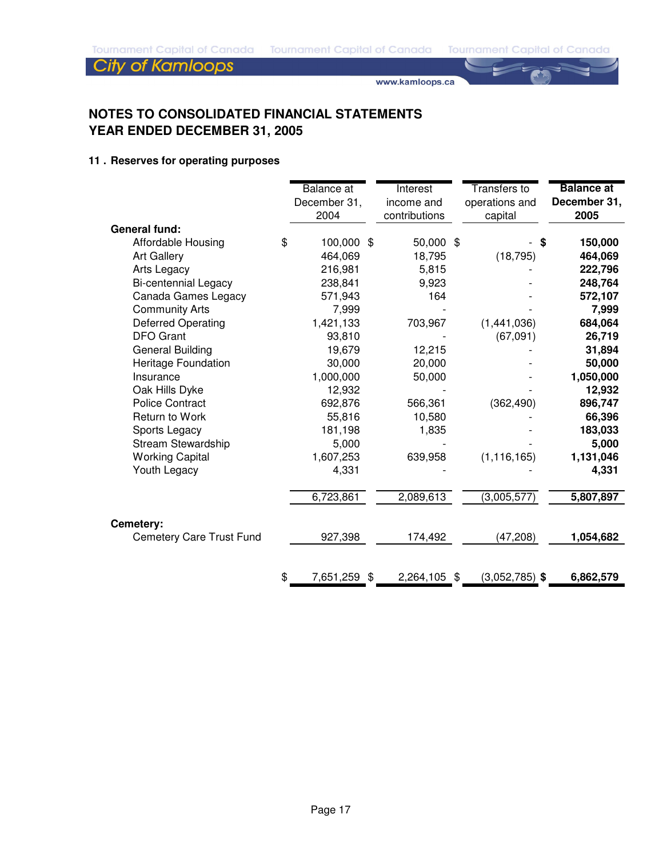www.kamloops.ca

## **NOTES TO CONSOLIDATED FINANCIAL STATEMENTS YEAR ENDED DECEMBER 31, 2005**

### **11 . Reserves for operating purposes**

|                           | <b>Balance</b> at<br>December 31,<br>2004 | <b>Interest</b><br>income and<br>contributions | <b>Transfers</b> to<br>operations and<br>capital | <b>Balance at</b><br>December 31,<br>2005 |
|---------------------------|-------------------------------------------|------------------------------------------------|--------------------------------------------------|-------------------------------------------|
| <b>General fund:</b>      |                                           |                                                |                                                  |                                           |
| Affordable Housing        | \$<br>100,000 \$                          | 50,000 \$                                      |                                                  | \$<br>150,000                             |
| <b>Art Gallery</b>        | 464,069                                   | 18,795                                         | (18, 795)                                        | 464,069                                   |
| Arts Legacy               | 216,981                                   | 5,815                                          |                                                  | 222,796                                   |
| Bi-centennial Legacy      | 238,841                                   | 9,923                                          |                                                  | 248,764                                   |
| Canada Games Legacy       | 571,943                                   | 164                                            |                                                  | 572,107                                   |
| <b>Community Arts</b>     | 7,999                                     |                                                |                                                  | 7,999                                     |
| <b>Deferred Operating</b> | 1,421,133                                 | 703,967                                        | (1,441,036)                                      | 684,064                                   |
| <b>DFO</b> Grant          | 93,810                                    |                                                | (67,091)                                         | 26,719                                    |
| <b>General Building</b>   | 19,679                                    | 12,215                                         |                                                  | 31,894                                    |
| Heritage Foundation       | 30,000                                    | 20,000                                         |                                                  | 50,000                                    |
| Insurance                 | 1,000,000                                 | 50,000                                         |                                                  | 1,050,000                                 |
| Oak Hills Dyke            | 12,932                                    |                                                |                                                  | 12,932                                    |
| <b>Police Contract</b>    | 692,876                                   | 566,361                                        | (362, 490)                                       | 896,747                                   |
| Return to Work            | 55,816                                    | 10,580                                         |                                                  | 66,396                                    |
| Sports Legacy             | 181,198                                   | 1,835                                          |                                                  | 183,033                                   |
| <b>Stream Stewardship</b> | 5,000                                     |                                                |                                                  | 5,000                                     |
| <b>Working Capital</b>    | 1,607,253                                 | 639,958                                        | (1, 116, 165)                                    | 1,131,046                                 |
| Youth Legacy              | 4,331                                     |                                                |                                                  | 4,331                                     |
|                           | 6,723,861                                 | 2,089,613                                      | (3,005,577)                                      | 5,807,897                                 |
| Cemetery:                 |                                           |                                                |                                                  |                                           |
| Cemetery Care Trust Fund  | 927,398                                   | 174,492                                        | (47, 208)                                        | 1,054,682                                 |
|                           |                                           |                                                |                                                  |                                           |
|                           | \$<br>7,651,259 \$                        | 2,264,105                                      | \$<br>$(3,052,785)$ \$                           | 6,862,579                                 |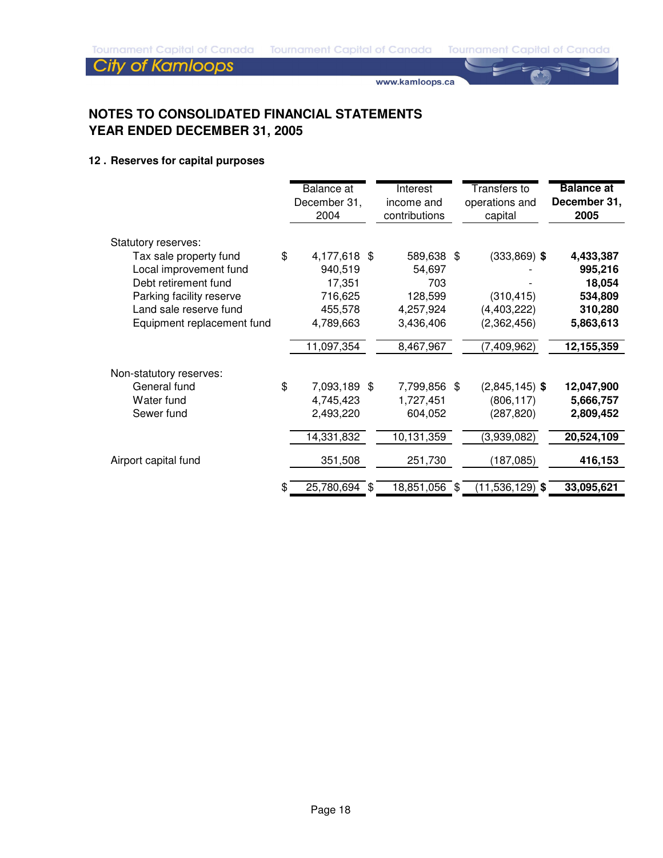www.kamloops.ca

## **NOTES TO CONSOLIDATED FINANCIAL STATEMENTS YEAR ENDED DECEMBER 31, 2005**

### **12 . Reserves for capital purposes**

|                            |    | Balance at<br>December 31,<br>2004 | Interest<br>income and<br>contributions | <b>Transfers to</b><br>operations and<br>capital | <b>Balance at</b><br>December 31,<br>2005 |
|----------------------------|----|------------------------------------|-----------------------------------------|--------------------------------------------------|-------------------------------------------|
| Statutory reserves:        |    |                                    |                                         |                                                  |                                           |
| Tax sale property fund     | \$ | 4,177,618 \$                       | 589,638 \$                              | $(333,869)$ \$                                   | 4,433,387                                 |
| Local improvement fund     |    | 940,519                            | 54,697                                  |                                                  | 995,216                                   |
| Debt retirement fund       |    | 17,351                             | 703                                     |                                                  | 18,054                                    |
| Parking facility reserve   |    | 716,625                            | 128,599                                 | (310, 415)                                       | 534,809                                   |
| Land sale reserve fund     |    | 455,578                            | 4,257,924                               | (4, 403, 222)                                    | 310,280                                   |
| Equipment replacement fund |    | 4,789,663                          | 3,436,406                               | (2,362,456)                                      | 5,863,613                                 |
|                            |    | 11,097,354                         | 8,467,967                               | (7, 409, 962)                                    | 12,155,359                                |
| Non-statutory reserves:    |    |                                    |                                         |                                                  |                                           |
| General fund               | \$ | 7,093,189 \$                       | 7,799,856 \$                            | $(2,845,145)$ \$                                 | 12,047,900                                |
| Water fund                 |    | 4,745,423                          | 1,727,451                               | (806, 117)                                       | 5,666,757                                 |
| Sewer fund                 |    | 2,493,220                          | 604,052                                 | (287, 820)                                       | 2,809,452                                 |
|                            |    | 14,331,832                         | 10,131,359                              | (3,939,082)                                      | 20,524,109                                |
| Airport capital fund       |    | 351,508                            | 251,730                                 | (187, 085)                                       | 416,153                                   |
|                            |    |                                    |                                         |                                                  |                                           |
|                            | æ. | 25,780,694 \$                      | 18,851,056 \$                           | $(11,536,129)$ \$                                | 33,095,621                                |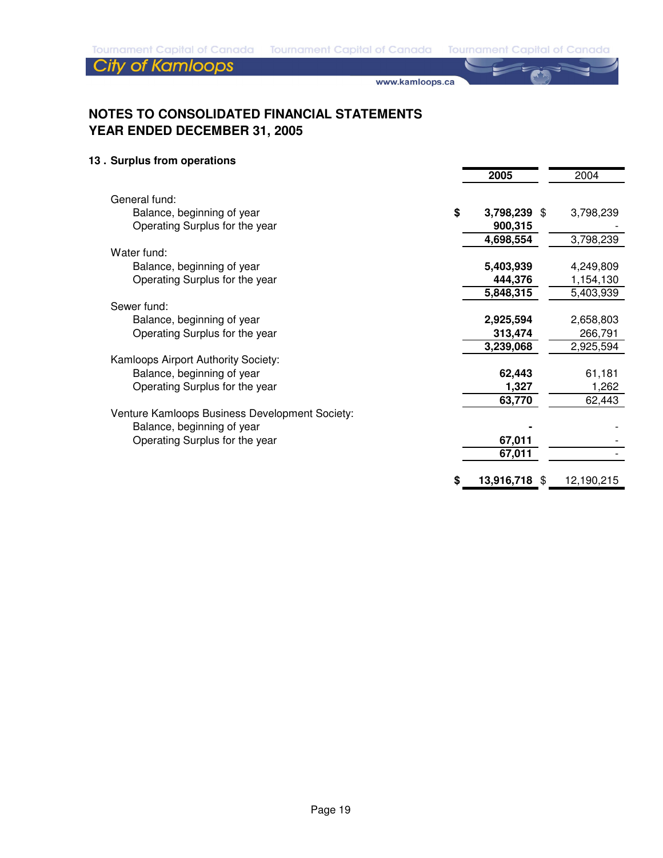www.kamloops.ca

## **NOTES TO CONSOLIDATED FINANCIAL STATEMENTS YEAR ENDED DECEMBER 31, 2005**

### **13 . Surplus from operations**

|                                                | 2005                | 2004       |
|------------------------------------------------|---------------------|------------|
|                                                |                     |            |
| General fund:                                  |                     |            |
| Balance, beginning of year                     | \$<br>3,798,239 \$  | 3,798,239  |
| Operating Surplus for the year                 | 900,315             |            |
|                                                | 4,698,554           | 3,798,239  |
| Water fund:                                    |                     |            |
| Balance, beginning of year                     | 5,403,939           | 4,249,809  |
| Operating Surplus for the year                 | 444,376             | 1,154,130  |
|                                                | 5,848,315           | 5,403,939  |
| Sewer fund:                                    |                     |            |
| Balance, beginning of year                     | 2,925,594           | 2,658,803  |
| Operating Surplus for the year                 | 313,474             | 266,791    |
|                                                | 3,239,068           | 2,925,594  |
| Kamloops Airport Authority Society:            |                     |            |
| Balance, beginning of year                     | 62,443              | 61,181     |
| Operating Surplus for the year                 | 1,327               | 1,262      |
|                                                | 63,770              | 62,443     |
| Venture Kamloops Business Development Society: |                     |            |
| Balance, beginning of year                     |                     |            |
| Operating Surplus for the year                 | 67,011              |            |
|                                                | 67,011              |            |
|                                                |                     |            |
|                                                | \$<br>13,916,718 \$ | 12,190,215 |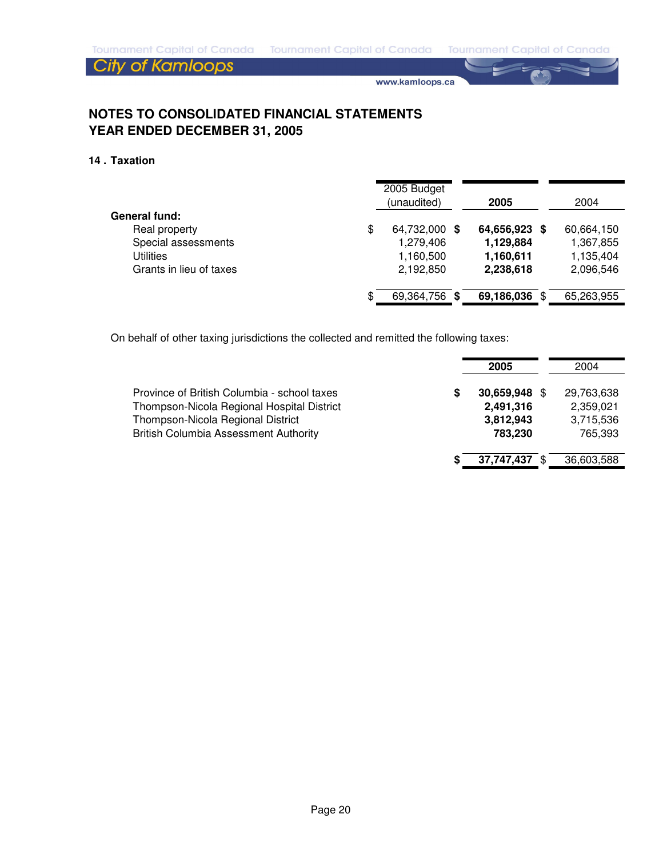www.kamloops.ca

## **NOTES TO CONSOLIDATED FINANCIAL STATEMENTS YEAR ENDED DECEMBER 31, 2005**

#### **14 . Taxation**

|                         | 2005 Budget<br>(unaudited) |   | 2005          | 2004       |
|-------------------------|----------------------------|---|---------------|------------|
| General fund:           |                            |   |               |            |
| Real property           | \$<br>64,732,000           | S | 64,656,923 \$ | 60,664,150 |
| Special assessments     | 1,279,406                  |   | 1,129,884     | 1,367,855  |
| <b>Utilities</b>        | 1,160,500                  |   | 1,160,611     | 1,135,404  |
| Grants in lieu of taxes | 2,192,850                  |   | 2,238,618     | 2,096,546  |
|                         |                            |   |               |            |
|                         | \$<br>69,364,756           | S | 69,186,036    | 65,263,955 |

On behalf of other taxing jurisdictions the collected and remitted the following taxes:

|                                                                                                                                                                                |   | 2005                                               | 2004                                            |
|--------------------------------------------------------------------------------------------------------------------------------------------------------------------------------|---|----------------------------------------------------|-------------------------------------------------|
| Province of British Columbia - school taxes<br>Thompson-Nicola Regional Hospital District<br>Thompson-Nicola Regional District<br><b>British Columbia Assessment Authority</b> | S | 30,659,948 \$<br>2,491,316<br>3,812,943<br>783,230 | 29,763,638<br>2,359,021<br>3,715,536<br>765,393 |
|                                                                                                                                                                                |   | 37,747,437                                         | 36,603,588                                      |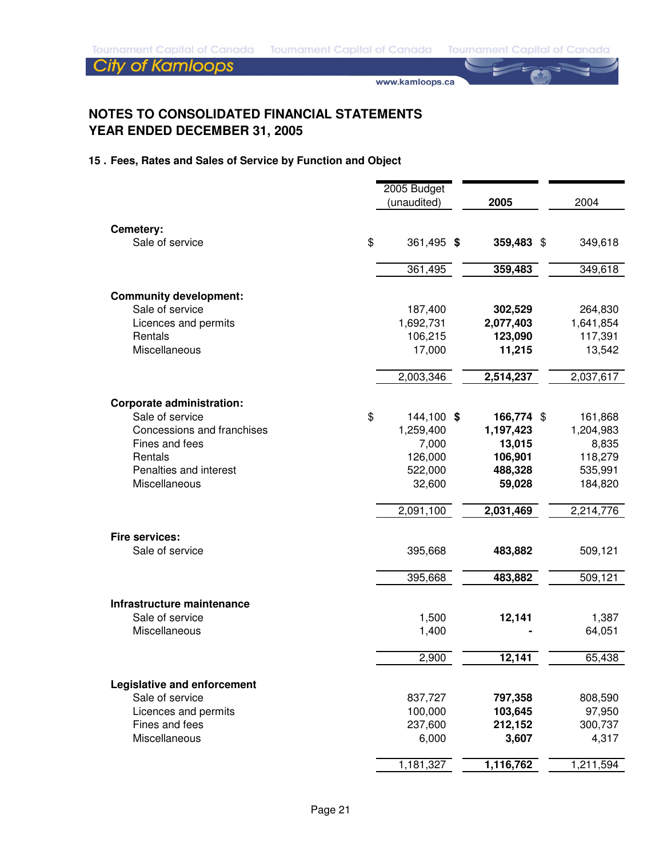www.kamloops.ca

## **NOTES TO CONSOLIDATED FINANCIAL STATEMENTS YEAR ENDED DECEMBER 31, 2005**

## **15 . Fees, Rates and Sales of Service by Function and Object**

|                                  | 2005 Budget      |            |           |
|----------------------------------|------------------|------------|-----------|
|                                  | (unaudited)      | 2005       | 2004      |
|                                  |                  |            |           |
| Cemetery:                        |                  |            |           |
| Sale of service                  | \$<br>361,495 \$ | 359,483 \$ | 349,618   |
|                                  | 361,495          | 359,483    | 349,618   |
| <b>Community development:</b>    |                  |            |           |
| Sale of service                  | 187,400          | 302,529    | 264,830   |
| Licences and permits             | 1,692,731        | 2,077,403  | 1,641,854 |
| Rentals                          | 106,215          | 123,090    | 117,391   |
| Miscellaneous                    | 17,000           | 11,215     | 13,542    |
|                                  | 2,003,346        | 2,514,237  | 2,037,617 |
| <b>Corporate administration:</b> |                  |            |           |
| Sale of service                  | \$<br>144,100 \$ | 166,774 \$ | 161,868   |
| Concessions and franchises       | 1,259,400        | 1,197,423  | 1,204,983 |
| Fines and fees                   | 7,000            | 13,015     | 8,835     |
| Rentals                          | 126,000          | 106,901    | 118,279   |
| Penalties and interest           | 522,000          | 488,328    | 535,991   |
| Miscellaneous                    | 32,600           | 59,028     | 184,820   |
|                                  | 2,091,100        | 2,031,469  | 2,214,776 |
| <b>Fire services:</b>            |                  |            |           |
| Sale of service                  | 395,668          | 483,882    | 509,121   |
|                                  | 395,668          | 483,882    | 509,121   |
| Infrastructure maintenance       |                  |            |           |
| Sale of service                  | 1,500            | 12,141     | 1,387     |
| Miscellaneous                    | 1,400            |            | 64,051    |
|                                  | 2,900            | 12,141     | 65,438    |
| Legislative and enforcement      |                  |            |           |
| Sale of service                  | 837,727          | 797,358    | 808,590   |
| Licences and permits             | 100,000          | 103,645    | 97,950    |
| Fines and fees                   | 237,600          | 212,152    | 300,737   |
| Miscellaneous                    | 6,000            | 3,607      | 4,317     |
|                                  | 1,181,327        | 1,116,762  | 1,211,594 |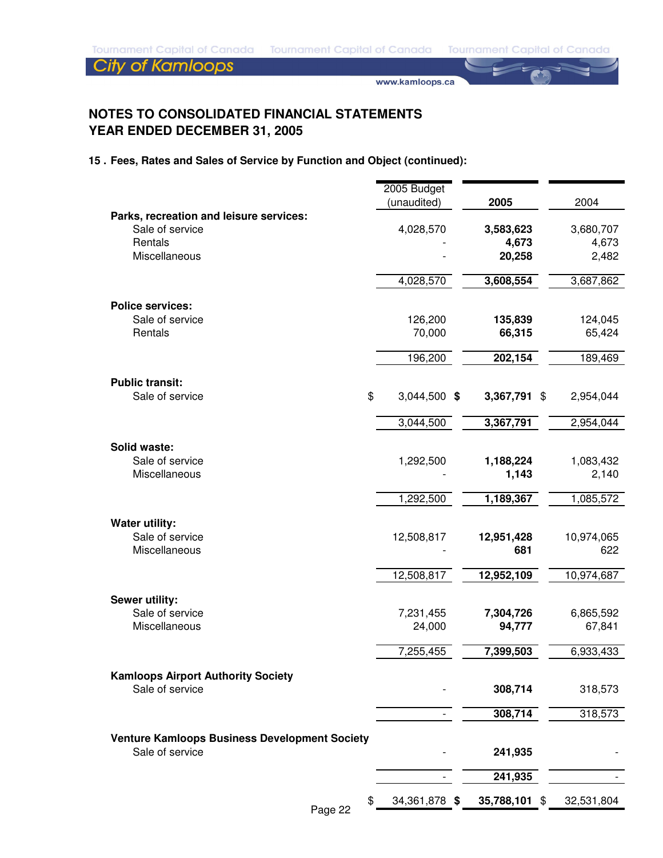www.kamloops.ca

## **NOTES TO CONSOLIDATED FINANCIAL STATEMENTS YEAR ENDED DECEMBER 31, 2005**

### **15 . Fees, Rates and Sales of Service by Function and Object (continued):**

|                                                      | 2005 Budget         |               |            |
|------------------------------------------------------|---------------------|---------------|------------|
| Parks, recreation and leisure services:              | (unaudited)         | 2005          | 2004       |
| Sale of service                                      | 4,028,570           | 3,583,623     | 3,680,707  |
| Rentals                                              |                     | 4,673         | 4,673      |
| Miscellaneous                                        |                     | 20,258        | 2,482      |
|                                                      |                     |               |            |
|                                                      | 4,028,570           | 3,608,554     | 3,687,862  |
| <b>Police services:</b>                              |                     |               |            |
| Sale of service                                      | 126,200             | 135,839       | 124,045    |
| Rentals                                              | 70,000              | 66,315        | 65,424     |
|                                                      |                     |               |            |
|                                                      | 196,200             | 202,154       | 189,469    |
| <b>Public transit:</b>                               |                     |               |            |
| Sale of service                                      | \$<br>3,044,500 \$  | 3,367,791 \$  | 2,954,044  |
|                                                      | 3,044,500           | 3,367,791     | 2,954,044  |
|                                                      |                     |               |            |
| Solid waste:                                         |                     |               |            |
| Sale of service                                      | 1,292,500           | 1,188,224     | 1,083,432  |
| Miscellaneous                                        |                     | 1,143         | 2,140      |
|                                                      | 1,292,500           | 1,189,367     | 1,085,572  |
|                                                      |                     |               |            |
| <b>Water utility:</b>                                |                     |               |            |
| Sale of service                                      | 12,508,817          | 12,951,428    | 10,974,065 |
| Miscellaneous                                        |                     | 681           | 622        |
|                                                      | 12,508,817          | 12,952,109    | 10,974,687 |
|                                                      |                     |               |            |
| Sewer utility:<br>Sale of service                    | 7,231,455           | 7,304,726     | 6,865,592  |
| Miscellaneous                                        | 24,000              | 94,777        | 67,841     |
|                                                      |                     |               |            |
|                                                      | 7,255,455           | 7,399,503     | 6,933,433  |
| <b>Kamloops Airport Authority Society</b>            |                     |               |            |
| Sale of service                                      |                     | 308,714       | 318,573    |
|                                                      |                     |               |            |
|                                                      |                     | 308,714       | 318,573    |
| <b>Venture Kamloops Business Development Society</b> |                     |               |            |
| Sale of service                                      |                     | 241,935       |            |
|                                                      |                     | 241,935       |            |
|                                                      |                     |               |            |
|                                                      | \$<br>34,361,878 \$ | 35,788,101 \$ | 32,531,804 |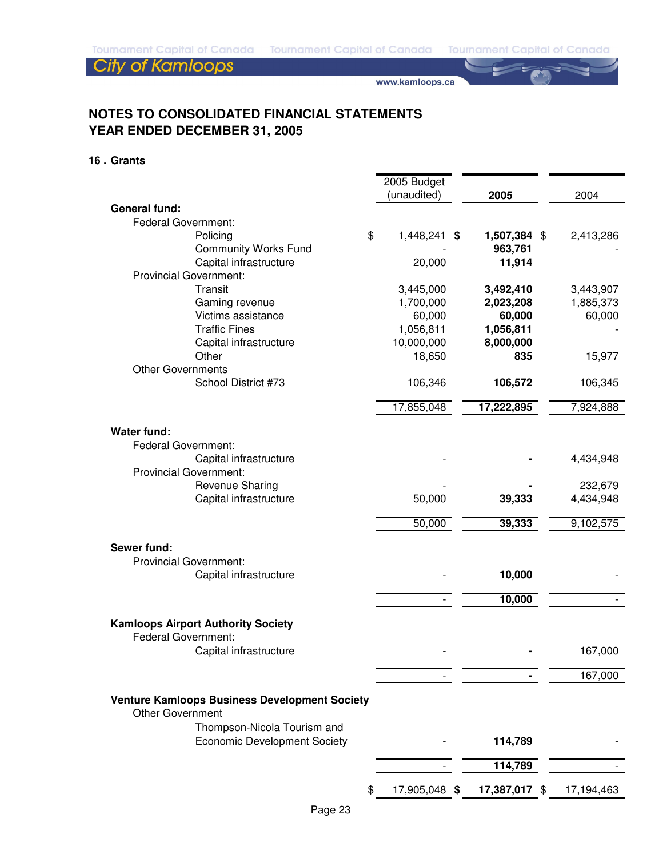www.kamloops.ca

## **NOTES TO CONSOLIDATED FINANCIAL STATEMENTS YEAR ENDED DECEMBER 31, 2005**

#### **16 . Grants**

|                                                                                 | 2005 Budget         |               |            |
|---------------------------------------------------------------------------------|---------------------|---------------|------------|
|                                                                                 | (unaudited)         | 2005          | 2004       |
| <b>General fund:</b>                                                            |                     |               |            |
| <b>Federal Government:</b>                                                      |                     |               |            |
| Policing                                                                        | \$<br>1,448,241 \$  | 1,507,384 \$  | 2,413,286  |
| <b>Community Works Fund</b>                                                     |                     | 963,761       |            |
| Capital infrastructure                                                          | 20,000              | 11,914        |            |
| <b>Provincial Government:</b>                                                   |                     |               |            |
| Transit                                                                         | 3,445,000           | 3,492,410     | 3,443,907  |
| Gaming revenue                                                                  | 1,700,000           | 2,023,208     | 1,885,373  |
| Victims assistance                                                              | 60,000              | 60,000        | 60,000     |
| <b>Traffic Fines</b>                                                            | 1,056,811           | 1,056,811     |            |
| Capital infrastructure                                                          | 10,000,000          | 8,000,000     |            |
|                                                                                 |                     |               |            |
| Other                                                                           | 18,650              | 835           | 15,977     |
| <b>Other Governments</b>                                                        |                     |               |            |
| School District #73                                                             | 106,346             | 106,572       | 106,345    |
|                                                                                 | 17,855,048          | 17,222,895    | 7,924,888  |
|                                                                                 |                     |               |            |
| <b>Water fund:</b>                                                              |                     |               |            |
| <b>Federal Government:</b>                                                      |                     |               |            |
| Capital infrastructure                                                          |                     |               | 4,434,948  |
| <b>Provincial Government:</b>                                                   |                     |               |            |
| Revenue Sharing                                                                 |                     |               | 232,679    |
|                                                                                 |                     |               |            |
| Capital infrastructure                                                          | 50,000              | 39,333        | 4,434,948  |
|                                                                                 | 50,000              | 39,333        | 9,102,575  |
|                                                                                 |                     |               |            |
| Sewer fund:                                                                     |                     |               |            |
| <b>Provincial Government:</b>                                                   |                     |               |            |
| Capital infrastructure                                                          |                     | 10,000        |            |
|                                                                                 |                     |               |            |
|                                                                                 |                     | 10,000        |            |
|                                                                                 |                     |               |            |
| <b>Kamloops Airport Authority Society</b>                                       |                     |               |            |
| <b>Federal Government:</b>                                                      |                     |               |            |
| Capital infrastructure                                                          |                     |               | 167,000    |
|                                                                                 |                     |               |            |
|                                                                                 |                     |               | 167,000    |
|                                                                                 |                     |               |            |
| <b>Venture Kamloops Business Development Society</b><br><b>Other Government</b> |                     |               |            |
| Thompson-Nicola Tourism and                                                     |                     |               |            |
| <b>Economic Development Society</b>                                             |                     | 114,789       |            |
|                                                                                 |                     |               |            |
|                                                                                 |                     | 114,789       |            |
|                                                                                 |                     |               |            |
|                                                                                 | \$<br>17,905,048 \$ | 17,387,017 \$ | 17,194,463 |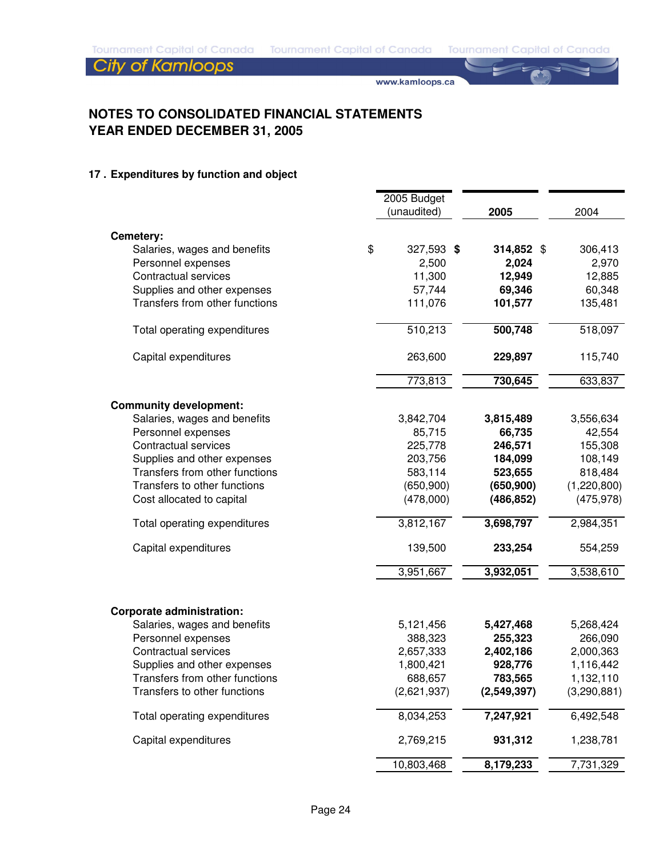www.kamloops.ca

## **NOTES TO CONSOLIDATED FINANCIAL STATEMENTS YEAR ENDED DECEMBER 31, 2005**

## **17 . Expenditures by function and object**

|                                                                  | 2005 Budget      |             |             |
|------------------------------------------------------------------|------------------|-------------|-------------|
|                                                                  | (unaudited)      | 2005        | 2004        |
|                                                                  |                  |             |             |
| Cemetery:<br>Salaries, wages and benefits                        | \$<br>327,593 \$ | 314,852 \$  | 306,413     |
| Personnel expenses                                               | 2,500            | 2,024       | 2,970       |
| Contractual services                                             | 11,300           | 12,949      | 12,885      |
| Supplies and other expenses                                      | 57,744           | 69,346      | 60,348      |
| Transfers from other functions                                   | 111,076          | 101,577     | 135,481     |
| Total operating expenditures                                     | 510,213          | 500,748     | 518,097     |
| Capital expenditures                                             | 263,600          | 229,897     | 115,740     |
|                                                                  | 773,813          | 730,645     | 633,837     |
| <b>Community development:</b>                                    |                  |             |             |
| Salaries, wages and benefits                                     | 3,842,704        | 3,815,489   | 3,556,634   |
| Personnel expenses                                               | 85,715           | 66,735      | 42,554      |
| <b>Contractual services</b>                                      | 225,778          | 246,571     | 155,308     |
| Supplies and other expenses                                      | 203,756          | 184,099     | 108,149     |
| Transfers from other functions                                   | 583,114          | 523,655     | 818,484     |
| Transfers to other functions                                     | (650, 900)       | (650, 900)  | (1,220,800) |
| Cost allocated to capital                                        | (478,000)        | (486, 852)  | (475, 978)  |
| Total operating expenditures                                     | 3,812,167        | 3,698,797   | 2,984,351   |
| Capital expenditures                                             | 139,500          | 233,254     | 554,259     |
|                                                                  | 3,951,667        | 3,932,051   | 3,538,610   |
|                                                                  |                  |             |             |
| <b>Corporate administration:</b><br>Salaries, wages and benefits | 5,121,456        | 5,427,468   | 5,268,424   |
| Personnel expenses                                               | 388,323          | 255,323     | 266,090     |
| <b>Contractual services</b>                                      | 2,657,333        | 2,402,186   | 2,000,363   |
| Supplies and other expenses                                      | 1,800,421        | 928,776     | 1,116,442   |
| Transfers from other functions                                   | 688,657          | 783,565     | 1,132,110   |
| Transfers to other functions                                     | (2,621,937)      | (2,549,397) | (3,290,881) |
| Total operating expenditures                                     | 8,034,253        | 7,247,921   | 6,492,548   |
| Capital expenditures                                             | 2,769,215        | 931,312     | 1,238,781   |
|                                                                  | 10,803,468       | 8,179,233   | 7,731,329   |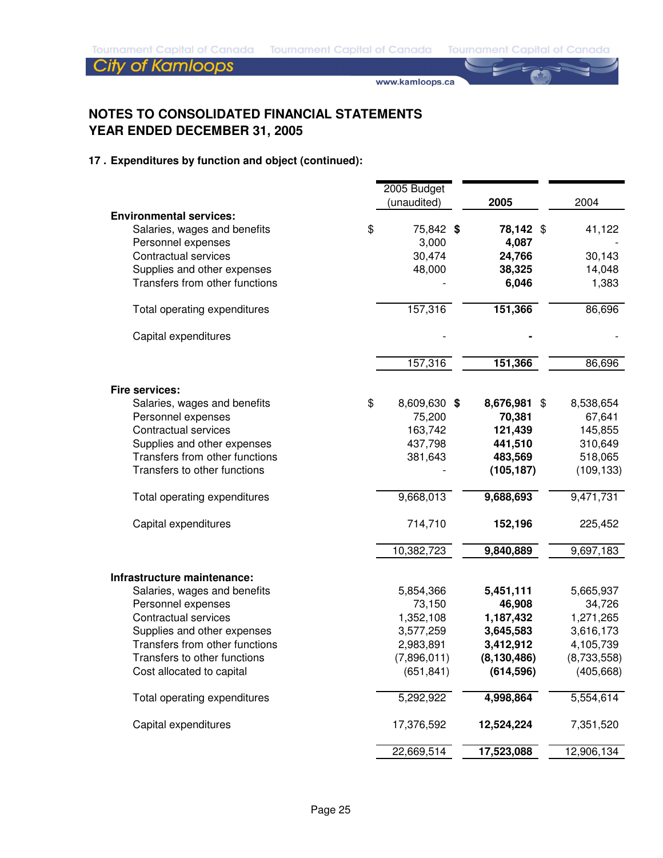www.kamloops.ca

## **NOTES TO CONSOLIDATED FINANCIAL STATEMENTS YEAR ENDED DECEMBER 31, 2005**

|                                | 2005 Budget<br>(unaudited) | 2005          | 2004        |
|--------------------------------|----------------------------|---------------|-------------|
| <b>Environmental services:</b> |                            |               |             |
| Salaries, wages and benefits   | \$<br>75,842 \$            | 78,142 \$     | 41,122      |
| Personnel expenses             | 3,000                      | 4,087         |             |
| <b>Contractual services</b>    | 30,474                     | 24,766        | 30,143      |
| Supplies and other expenses    | 48,000                     | 38,325        | 14,048      |
| Transfers from other functions |                            | 6,046         | 1,383       |
| Total operating expenditures   | 157,316                    | 151,366       | 86,696      |
| Capital expenditures           |                            |               |             |
|                                | 157,316                    | 151,366       | 86,696      |
| Fire services:                 |                            |               |             |
| Salaries, wages and benefits   | \$<br>8,609,630 \$         | 8,676,981 \$  | 8,538,654   |
| Personnel expenses             | 75,200                     | 70,381        | 67,641      |
| Contractual services           | 163,742                    | 121,439       | 145,855     |
| Supplies and other expenses    | 437,798                    | 441,510       | 310,649     |
| Transfers from other functions | 381,643                    | 483,569       | 518,065     |
| Transfers to other functions   |                            | (105, 187)    | (109, 133)  |
| Total operating expenditures   | 9,668,013                  | 9,688,693     | 9,471,731   |
| Capital expenditures           | 714,710                    | 152,196       | 225,452     |
|                                | 10,382,723                 | 9,840,889     | 9,697,183   |
| Infrastructure maintenance:    |                            |               |             |
| Salaries, wages and benefits   | 5,854,366                  | 5,451,111     | 5,665,937   |
| Personnel expenses             | 73,150                     | 46,908        | 34,726      |
| <b>Contractual services</b>    | 1,352,108                  | 1,187,432     | 1,271,265   |
| Supplies and other expenses    | 3,577,259                  | 3,645,583     | 3,616,173   |
| Transfers from other functions | 2,983,891                  | 3,412,912     | 4,105,739   |
| Transfers to other functions   | (7,896,011)                | (8, 130, 486) | (8,733,558) |
| Cost allocated to capital      | (651, 841)                 | (614, 596)    | (405, 668)  |
| Total operating expenditures   | 5,292,922                  | 4,998,864     | 5,554,614   |
| Capital expenditures           | 17,376,592                 | 12,524,224    | 7,351,520   |
|                                | 22,669,514                 | 17,523,088    | 12,906,134  |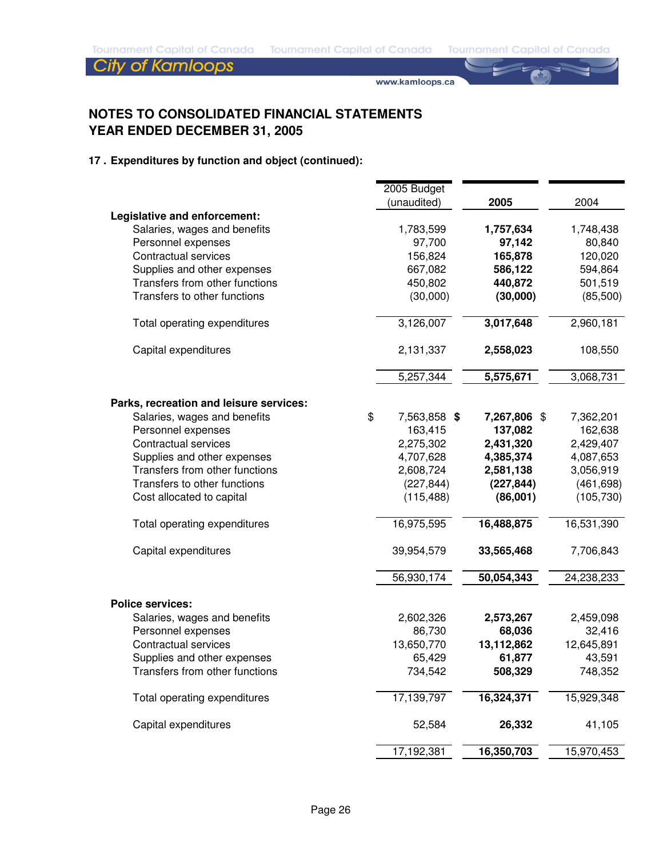www.kamloops.ca

## **NOTES TO CONSOLIDATED FINANCIAL STATEMENTS YEAR ENDED DECEMBER 31, 2005**

|                                                              | 2005 Budget        |              |            |
|--------------------------------------------------------------|--------------------|--------------|------------|
|                                                              | (unaudited)        | 2005         | 2004       |
| Legislative and enforcement:<br>Salaries, wages and benefits | 1,783,599          | 1,757,634    | 1,748,438  |
| Personnel expenses                                           | 97,700             | 97,142       | 80,840     |
| <b>Contractual services</b>                                  | 156,824            | 165,878      | 120,020    |
| Supplies and other expenses                                  | 667,082            | 586,122      | 594,864    |
| Transfers from other functions                               | 450,802            | 440,872      | 501,519    |
| Transfers to other functions                                 | (30,000)           | (30,000)     | (85,500)   |
| Total operating expenditures                                 | 3,126,007          | 3,017,648    | 2,960,181  |
| Capital expenditures                                         | 2,131,337          | 2,558,023    | 108,550    |
|                                                              | 5,257,344          | 5,575,671    | 3,068,731  |
| Parks, recreation and leisure services:                      |                    |              |            |
| Salaries, wages and benefits                                 | \$<br>7,563,858 \$ | 7,267,806 \$ | 7,362,201  |
| Personnel expenses                                           | 163,415            | 137,082      | 162,638    |
| <b>Contractual services</b>                                  | 2,275,302          | 2,431,320    | 2,429,407  |
| Supplies and other expenses                                  | 4,707,628          | 4,385,374    | 4,087,653  |
| Transfers from other functions                               | 2,608,724          | 2,581,138    | 3,056,919  |
| Transfers to other functions                                 | (227, 844)         | (227, 844)   | (461, 698) |
| Cost allocated to capital                                    | (115, 488)         | (86,001)     | (105, 730) |
| Total operating expenditures                                 | 16,975,595         | 16,488,875   | 16,531,390 |
| Capital expenditures                                         | 39,954,579         | 33,565,468   | 7,706,843  |
|                                                              | 56,930,174         | 50,054,343   | 24,238,233 |
| <b>Police services:</b>                                      |                    |              |            |
| Salaries, wages and benefits                                 | 2,602,326          | 2,573,267    | 2,459,098  |
| Personnel expenses                                           | 86,730             | 68,036       | 32,416     |
| <b>Contractual services</b>                                  | 13,650,770         | 13,112,862   | 12,645,891 |
| Supplies and other expenses                                  | 65,429             | 61,877       | 43,591     |
| Transfers from other functions                               | 734,542            | 508,329      | 748,352    |
| Total operating expenditures                                 | 17,139,797         | 16,324,371   | 15,929,348 |
| Capital expenditures                                         | 52,584             | 26,332       | 41,105     |
|                                                              | 17,192,381         | 16,350,703   | 15,970,453 |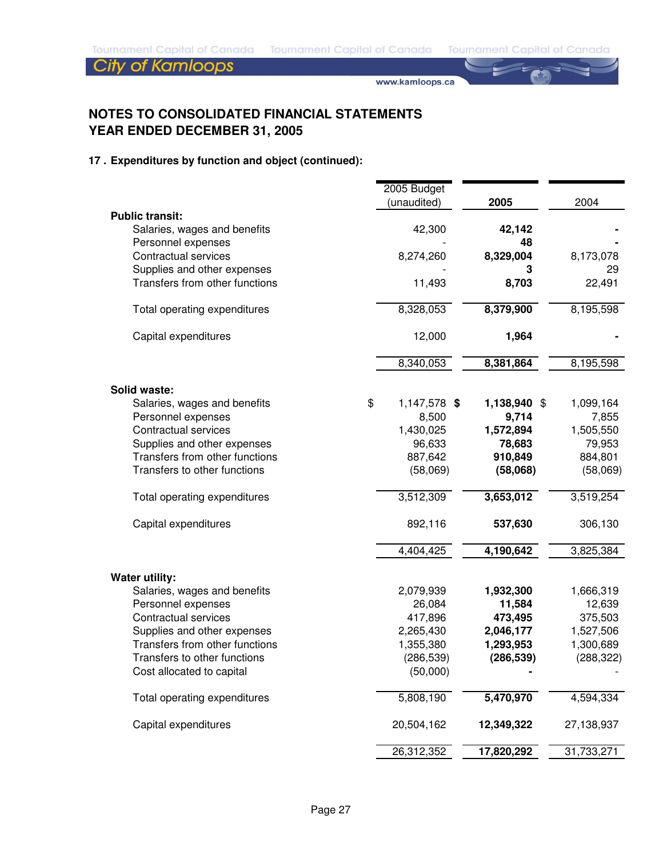www.kamloops.ca

## **NOTES TO CONSOLIDATED FINANCIAL STATEMENTS YEAR ENDED DECEMBER 31, 2005**

|                                | 2005 Budget        |              |            |
|--------------------------------|--------------------|--------------|------------|
|                                | (unaudited)        | 2005         | 2004       |
| <b>Public transit:</b>         |                    |              |            |
| Salaries, wages and benefits   | 42,300             | 42,142       |            |
| Personnel expenses             |                    | 48           |            |
| <b>Contractual services</b>    | 8,274,260          | 8,329,004    | 8,173,078  |
| Supplies and other expenses    |                    | з            | 29         |
| Transfers from other functions | 11,493             | 8,703        | 22,491     |
| Total operating expenditures   | 8,328,053          | 8,379,900    | 8,195,598  |
| Capital expenditures           | 12,000             | 1,964        |            |
|                                | 8,340,053          | 8,381,864    | 8,195,598  |
| <b>Solid waste:</b>            |                    |              |            |
| Salaries, wages and benefits   | \$<br>1,147,578 \$ | 1,138,940 \$ | 1,099,164  |
| Personnel expenses             | 8,500              | 9,714        | 7,855      |
| <b>Contractual services</b>    | 1,430,025          | 1,572,894    | 1,505,550  |
| Supplies and other expenses    | 96,633             | 78,683       | 79,953     |
| Transfers from other functions | 887,642            | 910,849      | 884,801    |
| Transfers to other functions   | (58,069)           | (58,068)     | (58,069)   |
| Total operating expenditures   | 3,512,309          | 3,653,012    | 3,519,254  |
| Capital expenditures           | 892,116            | 537,630      | 306,130    |
|                                | 4,404,425          | 4,190,642    | 3,825,384  |
| <b>Water utility:</b>          |                    |              |            |
| Salaries, wages and benefits   | 2,079,939          | 1,932,300    | 1,666,319  |
| Personnel expenses             | 26,084             | 11,584       | 12,639     |
| <b>Contractual services</b>    | 417,896            | 473,495      | 375,503    |
| Supplies and other expenses    | 2,265,430          | 2,046,177    | 1,527,506  |
| Transfers from other functions | 1,355,380          | 1,293,953    | 1,300,689  |
| Transfers to other functions   | (286, 539)         | (286, 539)   | (288, 322) |
| Cost allocated to capital      | (50,000)           |              |            |
| Total operating expenditures   | 5,808,190          | 5,470,970    | 4,594,334  |
| Capital expenditures           | 20,504,162         | 12,349,322   | 27,138,937 |
|                                | 26,312,352         | 17,820,292   | 31,733,271 |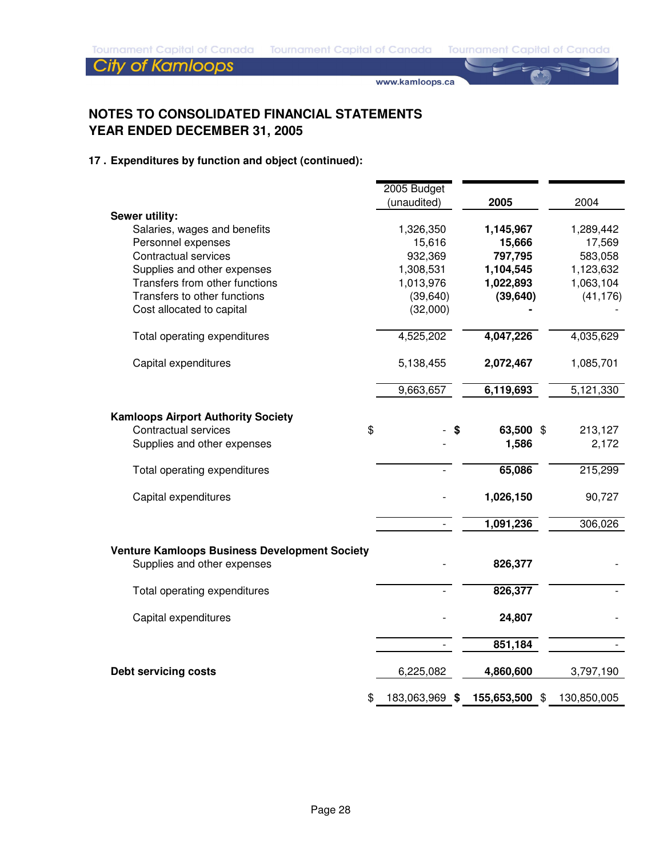www.kamloops.ca

## **NOTES TO CONSOLIDATED FINANCIAL STATEMENTS YEAR ENDED DECEMBER 31, 2005**

|                                                      | 2005 Budget          |         |                |             |
|------------------------------------------------------|----------------------|---------|----------------|-------------|
|                                                      | (unaudited)          |         | 2005           | 2004        |
| Sewer utility:                                       |                      |         |                |             |
| Salaries, wages and benefits                         | 1,326,350            |         | 1,145,967      | 1,289,442   |
| Personnel expenses                                   | 15,616               |         | 15,666         | 17,569      |
| Contractual services                                 | 932,369              | 797,795 |                | 583,058     |
| Supplies and other expenses                          | 1,308,531            |         | 1,104,545      | 1,123,632   |
| Transfers from other functions                       | 1,013,976            |         | 1,022,893      | 1,063,104   |
| Transfers to other functions                         | (39, 640)            |         | (39, 640)      | (41, 176)   |
| Cost allocated to capital                            | (32,000)             |         |                |             |
| Total operating expenditures                         | 4,525,202            |         | 4,047,226      | 4,035,629   |
| Capital expenditures                                 | 5,138,455            |         | 2,072,467      | 1,085,701   |
|                                                      | 9,663,657            |         | 6,119,693      | 5,121,330   |
|                                                      |                      |         |                |             |
| <b>Kamloops Airport Authority Society</b>            |                      |         |                |             |
| Contractual services                                 | \$                   |         | 63,500 \$      | 213,127     |
| Supplies and other expenses                          |                      |         | 1,586          | 2,172       |
| Total operating expenditures                         |                      |         | 65,086         | 215,299     |
| Capital expenditures                                 |                      |         | 1,026,150      | 90,727      |
|                                                      |                      |         | 1,091,236      | 306,026     |
| <b>Venture Kamloops Business Development Society</b> |                      |         |                |             |
| Supplies and other expenses                          |                      |         | 826,377        |             |
| Total operating expenditures                         |                      |         | 826,377        |             |
| Capital expenditures                                 |                      |         | 24,807         |             |
|                                                      |                      |         | 851,184        |             |
| <b>Debt servicing costs</b>                          | 6,225,082            |         | 4,860,600      | 3,797,190   |
|                                                      | \$<br>183,063,969 \$ |         | 155,653,500 \$ | 130,850,005 |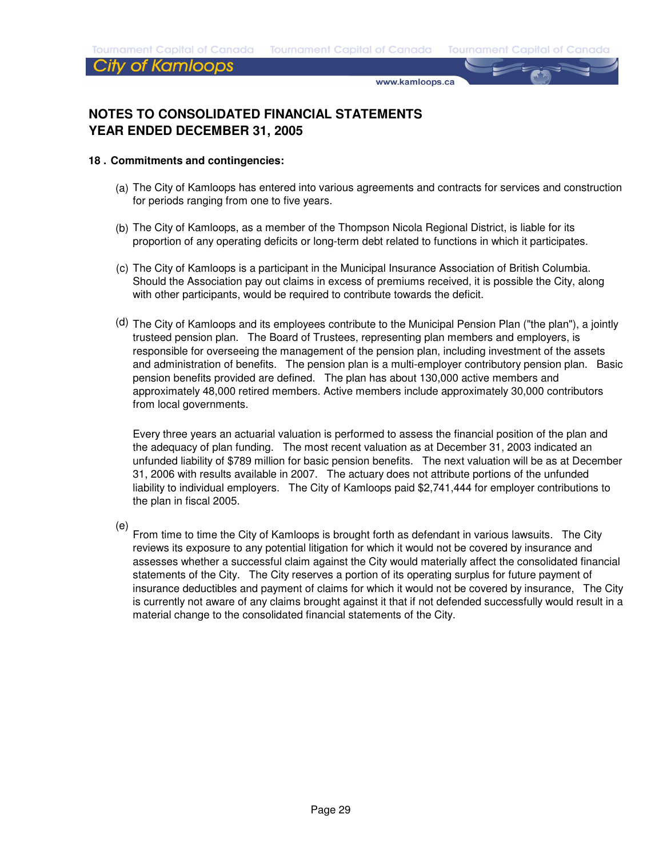#### City of Kamloops

www.kamloops.ca

## **NOTES TO CONSOLIDATED FINANCIAL STATEMENTS YEAR ENDED DECEMBER 31, 2005**

#### **18 . Commitments and contingencies:**

- (a) The City of Kamloops has entered into various agreements and contracts for services and construction for periods ranging from one to five years.
- (b) The City of Kamloops, as a member of the Thompson Nicola Regional District, is liable for its proportion of any operating deficits or long-term debt related to functions in which it participates.
- (c) The City of Kamloops is a participant in the Municipal Insurance Association of British Columbia. Should the Association pay out claims in excess of premiums received, it is possible the City, along with other participants, would be required to contribute towards the deficit.
- (d) The City of Kamloops and its employees contribute to the Municipal Pension Plan ("the plan"), a jointly trusteed pension plan. The Board of Trustees, representing plan members and employers, is responsible for overseeing the management of the pension plan, including investment of the assets and administration of benefits. The pension plan is a multi-employer contributory pension plan. Basic pension benefits provided are defined. The plan has about 130,000 active members and approximately 48,000 retired members. Active members include approximately 30,000 contributors from local governments.

Every three years an actuarial valuation is performed to assess the financial position of the plan and the adequacy of plan funding. The most recent valuation as at December 31, 2003 indicated an unfunded liability of \$789 million for basic pension benefits. The next valuation will be as at December 31, 2006 with results available in 2007. The actuary does not attribute portions of the unfunded liability to individual employers. The City of Kamloops paid \$2,741,444 for employer contributions to the plan in fiscal 2005.

(e)

From time to time the City of Kamloops is brought forth as defendant in various lawsuits. The City reviews its exposure to any potential litigation for which it would not be covered by insurance and assesses whether a successful claim against the City would materially affect the consolidated financial statements of the City. The City reserves a portion of its operating surplus for future payment of insurance deductibles and payment of claims for which it would not be covered by insurance, The City is currently not aware of any claims brought against it that if not defended successfully would result in a material change to the consolidated financial statements of the City.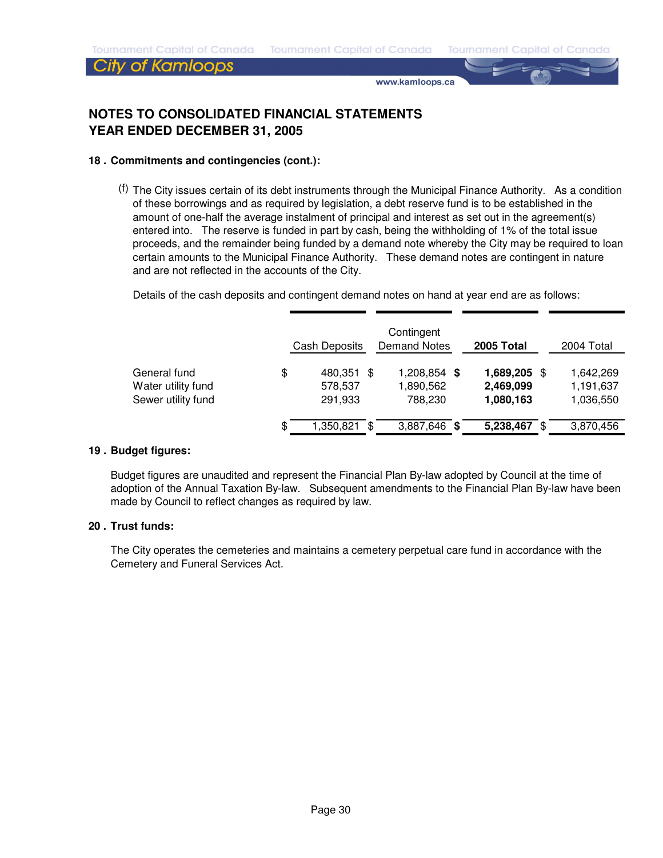### City of Kamloops

www.kamloops.ca

## **NOTES TO CONSOLIDATED FINANCIAL STATEMENTS YEAR ENDED DECEMBER 31, 2005**

#### **18 . Commitments and contingencies (cont.):**

(f) The City issues certain of its debt instruments through the Municipal Finance Authority. As a condition of these borrowings and as required by legislation, a debt reserve fund is to be established in the amount of one-half the average instalment of principal and interest as set out in the agreement(s) entered into. The reserve is funded in part by cash, being the withholding of 1% of the total issue proceeds, and the remainder being funded by a demand note whereby the City may be required to loan certain amounts to the Municipal Finance Authority. These demand notes are contingent in nature and are not reflected in the accounts of the City.

Details of the cash deposits and contingent demand notes on hand at year end are as follows:

|                                                          | Cash Deposits                          |   | Contingent<br><b>Demand Notes</b> |      | 2005 Total                          |      | 2004 Total                          |
|----------------------------------------------------------|----------------------------------------|---|-----------------------------------|------|-------------------------------------|------|-------------------------------------|
| General fund<br>Water utility fund<br>Sewer utility fund | \$<br>480,351 \$<br>578,537<br>291,933 |   | 1,208,854<br>1,890,562<br>788.230 | - \$ | 1,689,205<br>2,469,099<br>1,080,163 | - \$ | 1,642,269<br>1,191,637<br>1,036,550 |
|                                                          | \$<br>1,350,821                        | S | 3,887,646                         | S    | 5,238,467                           | \$.  | 3,870,456                           |

#### **19 . Budget figures:**

Budget figures are unaudited and represent the Financial Plan By-law adopted by Council at the time of adoption of the Annual Taxation By-law. Subsequent amendments to the Financial Plan By-law have been made by Council to reflect changes as required by law.

#### **20 . Trust funds:**

The City operates the cemeteries and maintains a cemetery perpetual care fund in accordance with the Cemetery and Funeral Services Act.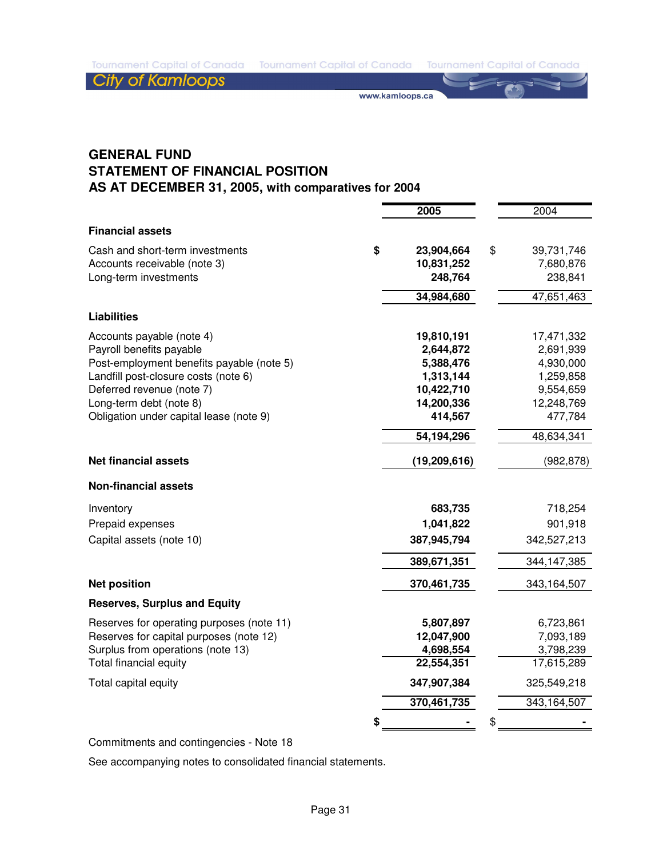www.kamloops.ca

## **GENERAL FUND STATEMENT OF FINANCIAL POSITION AS AT DECEMBER 31, 2005, with comparatives for 2004**

|                                           | 2005             | 2004             |
|-------------------------------------------|------------------|------------------|
| <b>Financial assets</b>                   |                  |                  |
| Cash and short-term investments           | \$<br>23,904,664 | \$<br>39,731,746 |
| Accounts receivable (note 3)              | 10,831,252       | 7,680,876        |
| Long-term investments                     | 248,764          | 238,841          |
|                                           | 34,984,680       | 47,651,463       |
| <b>Liabilities</b>                        |                  |                  |
| Accounts payable (note 4)                 | 19,810,191       | 17,471,332       |
| Payroll benefits payable                  | 2,644,872        | 2,691,939        |
| Post-employment benefits payable (note 5) | 5,388,476        | 4,930,000        |
| Landfill post-closure costs (note 6)      | 1,313,144        | 1,259,858        |
| Deferred revenue (note 7)                 | 10,422,710       | 9,554,659        |
| Long-term debt (note 8)                   | 14,200,336       | 12,248,769       |
| Obligation under capital lease (note 9)   | 414,567          | 477,784          |
|                                           | 54,194,296       | 48,634,341       |
| <b>Net financial assets</b>               | (19,209,616)     | (982, 878)       |
| <b>Non-financial assets</b>               |                  |                  |
| Inventory                                 | 683,735          | 718,254          |
| Prepaid expenses                          | 1,041,822        | 901,918          |
| Capital assets (note 10)                  | 387,945,794      | 342,527,213      |
|                                           | 389,671,351      | 344, 147, 385    |
| <b>Net position</b>                       | 370,461,735      | 343,164,507      |
| <b>Reserves, Surplus and Equity</b>       |                  |                  |
| Reserves for operating purposes (note 11) | 5,807,897        | 6,723,861        |
| Reserves for capital purposes (note 12)   | 12,047,900       | 7,093,189        |
| Surplus from operations (note 13)         | 4,698,554        | 3,798,239        |
| Total financial equity                    | 22,554,351       | 17,615,289       |
| Total capital equity                      | 347,907,384      | 325,549,218      |
|                                           | 370,461,735      | 343,164,507      |
|                                           | \$               | \$               |

Commitments and contingencies - Note 18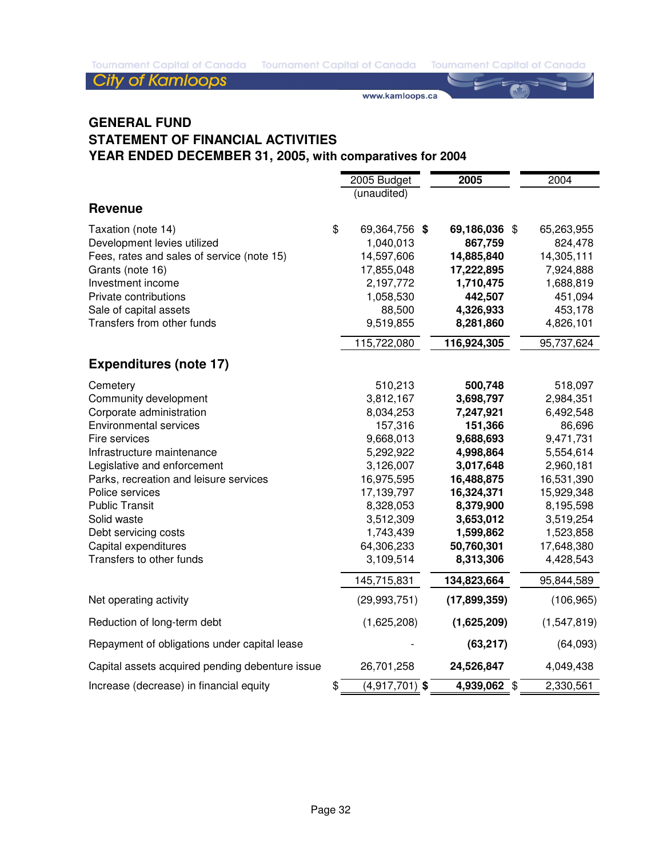Tournament Capital of Canada Tournament Capital of Canada Tournament Capital of Canada

**City of Kamloops** 

www.kamloops.ca

## **GENERAL FUND STATEMENT OF FINANCIAL ACTIVITIES YEAR ENDED DECEMBER 31, 2005, with comparatives for 2004**

|                                                 | 2005 Budget                       | 2005           | 2004        |
|-------------------------------------------------|-----------------------------------|----------------|-------------|
|                                                 | (unaudited)                       |                |             |
| <b>Revenue</b>                                  |                                   |                |             |
| Taxation (note 14)                              | \$<br>69,364,756 \$               | 69,186,036 \$  | 65,263,955  |
| Development levies utilized                     | 1,040,013                         | 867,759        | 824,478     |
| Fees, rates and sales of service (note 15)      | 14,597,606                        | 14,885,840     | 14,305,111  |
| Grants (note 16)                                | 17,855,048                        | 17,222,895     | 7,924,888   |
| Investment income                               | 2,197,772                         | 1,710,475      | 1,688,819   |
| Private contributions                           | 1,058,530                         | 442,507        | 451,094     |
| Sale of capital assets                          | 88,500                            | 4,326,933      | 453,178     |
| Transfers from other funds                      | 9,519,855                         | 8,281,860      | 4,826,101   |
|                                                 | 115,722,080                       | 116,924,305    | 95,737,624  |
| <b>Expenditures (note 17)</b>                   |                                   |                |             |
| Cemetery                                        | 510,213                           | 500,748        | 518,097     |
| Community development                           | 3,812,167                         | 3,698,797      | 2,984,351   |
| Corporate administration                        | 8,034,253                         | 7,247,921      | 6,492,548   |
| <b>Environmental services</b>                   | 157,316                           | 151,366        | 86,696      |
| Fire services                                   | 9,668,013                         | 9,688,693      | 9,471,731   |
| Infrastructure maintenance                      | 5,292,922                         | 4,998,864      | 5,554,614   |
| Legislative and enforcement                     | 3,126,007                         | 3,017,648      | 2,960,181   |
| Parks, recreation and leisure services          | 16,975,595                        | 16,488,875     | 16,531,390  |
| Police services                                 | 17,139,797                        | 16,324,371     | 15,929,348  |
| <b>Public Transit</b>                           | 8,328,053                         | 8,379,900      | 8,195,598   |
| Solid waste                                     | 3,512,309                         | 3,653,012      | 3,519,254   |
| Debt servicing costs                            | 1,743,439                         | 1,599,862      | 1,523,858   |
| Capital expenditures                            | 64,306,233                        | 50,760,301     | 17,648,380  |
| Transfers to other funds                        | 3,109,514                         | 8,313,306      | 4,428,543   |
|                                                 | 145,715,831                       | 134,823,664    | 95,844,589  |
| Net operating activity                          | (29, 993, 751)                    | (17, 899, 359) | (106, 965)  |
| Reduction of long-term debt                     | (1,625,208)                       | (1,625,209)    | (1,547,819) |
| Repayment of obligations under capital lease    |                                   | (63, 217)      | (64,093)    |
| Capital assets acquired pending debenture issue | 26,701,258                        | 24,526,847     | 4,049,438   |
| Increase (decrease) in financial equity         | \$<br>$\overline{(4,917,701)}$ \$ | 4,939,062 \$   | 2,330,561   |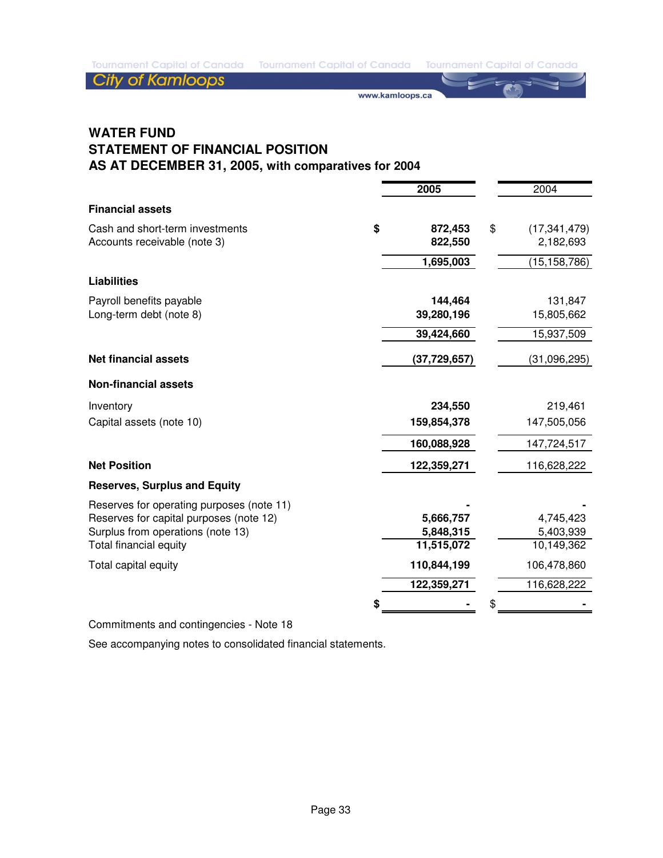**City of Kamloops** 

www.kamloops.ca

## **WATER FUND STATEMENT OF FINANCIAL POSITION AS AT DECEMBER 31, 2005, with comparatives for 2004**

|                                                                 | 2005                     | 2004                              |
|-----------------------------------------------------------------|--------------------------|-----------------------------------|
| <b>Financial assets</b>                                         |                          |                                   |
| Cash and short-term investments<br>Accounts receivable (note 3) | \$<br>872,453<br>822,550 | \$<br>(17, 341, 479)<br>2,182,693 |
|                                                                 | 1,695,003                | (15, 158, 786)                    |
| <b>Liabilities</b>                                              |                          |                                   |
| Payroll benefits payable<br>Long-term debt (note 8)             | 144,464<br>39,280,196    | 131,847<br>15,805,662             |
|                                                                 | 39,424,660               | 15,937,509                        |
| <b>Net financial assets</b>                                     | (37, 729, 657)           | (31,096,295)                      |
| <b>Non-financial assets</b>                                     |                          |                                   |
| Inventory                                                       | 234,550                  | 219,461                           |
| Capital assets (note 10)                                        | 159,854,378              | 147,505,056                       |
|                                                                 | 160,088,928              | 147,724,517                       |
| <b>Net Position</b>                                             | 122,359,271              | 116,628,222                       |
| <b>Reserves, Surplus and Equity</b>                             |                          |                                   |
| Reserves for operating purposes (note 11)                       |                          |                                   |
| Reserves for capital purposes (note 12)                         | 5,666,757                | 4,745,423                         |
| Surplus from operations (note 13)                               | 5,848,315                | 5,403,939                         |
| Total financial equity                                          | 11,515,072               | 10,149,362                        |
| Total capital equity                                            | 110,844,199              | 106,478,860                       |
|                                                                 | 122,359,271              | 116,628,222                       |
|                                                                 |                          |                                   |

Commitments and contingencies - Note 18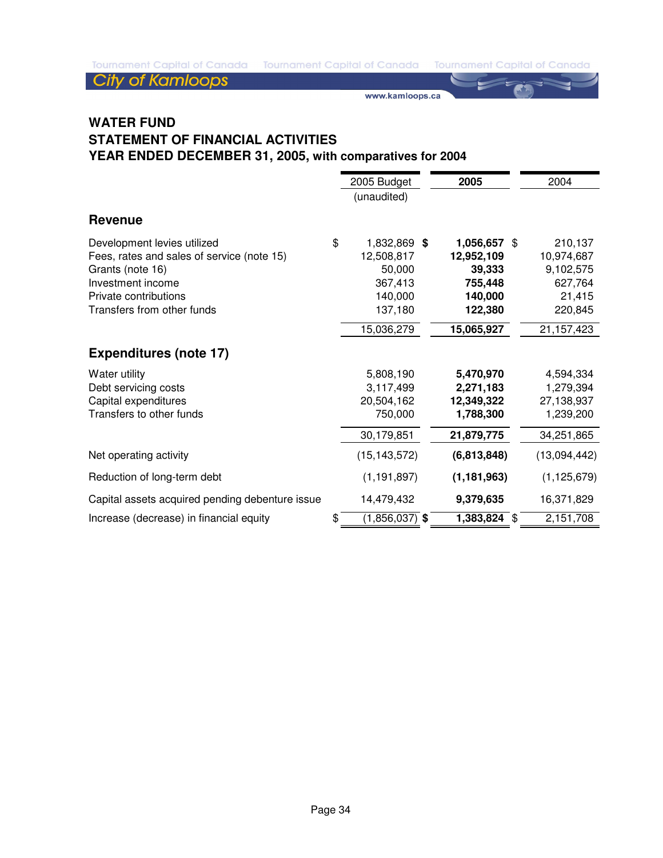Tournament Capital of Canada Tournament Capital of Canada Tournament Capital of Canada

**City of Kamloops** 

www.kamloops.ca

## **WATER FUND STATEMENT OF FINANCIAL ACTIVITIES YEAR ENDED DECEMBER 31, 2005, with comparatives for 2004**

|                                                 | 2005 Budget            | 2005          | 2004          |
|-------------------------------------------------|------------------------|---------------|---------------|
|                                                 | (unaudited)            |               |               |
| <b>Revenue</b>                                  |                        |               |               |
| Development levies utilized                     | \$<br>1,832,869 \$     | 1,056,657     | \$<br>210,137 |
| Fees, rates and sales of service (note 15)      | 12,508,817             | 12,952,109    | 10,974,687    |
| Grants (note 16)                                | 50,000                 | 39,333        | 9,102,575     |
| Investment income                               | 367,413                | 755,448       | 627,764       |
| Private contributions                           | 140,000                | 140,000       | 21,415        |
| Transfers from other funds                      | 137,180                | 122,380       | 220,845       |
|                                                 | 15,036,279             | 15,065,927    | 21, 157, 423  |
| <b>Expenditures (note 17)</b>                   |                        |               |               |
| Water utility                                   | 5,808,190              | 5,470,970     | 4,594,334     |
| Debt servicing costs                            | 3,117,499              | 2,271,183     | 1,279,394     |
| Capital expenditures                            | 20,504,162             | 12,349,322    | 27,138,937    |
| Transfers to other funds                        | 750,000                | 1,788,300     | 1,239,200     |
|                                                 | 30,179,851             | 21,879,775    | 34,251,865    |
| Net operating activity                          | (15, 143, 572)         | (6,813,848)   | (13,094,442)  |
| Reduction of long-term debt                     | (1, 191, 897)          | (1, 181, 963) | (1, 125, 679) |
| Capital assets acquired pending debenture issue | 14,479,432             | 9,379,635     | 16,371,829    |
| Increase (decrease) in financial equity         | \$<br>$(1,856,037)$ \$ | 1,383,824 \$  | 2,151,708     |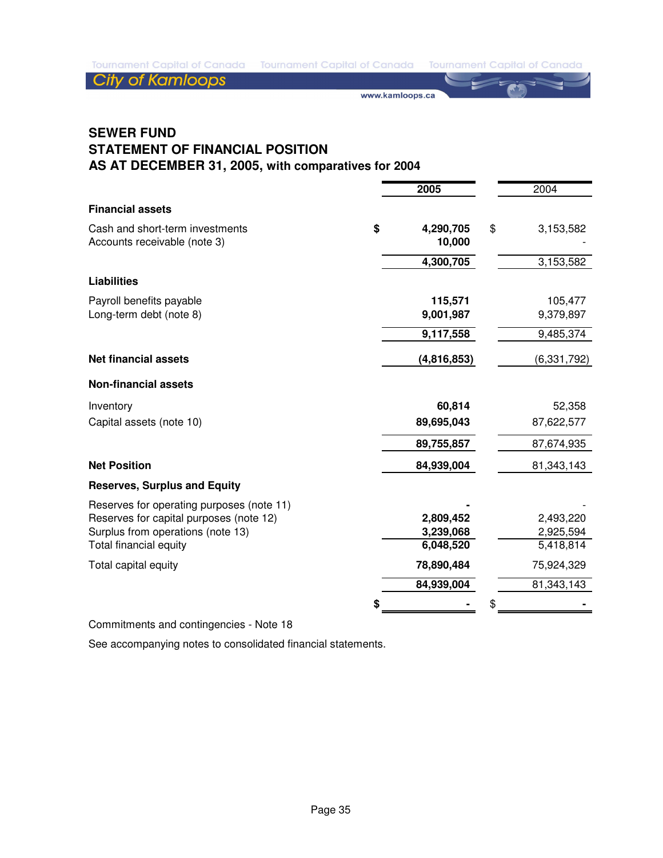**City of Kamloops** 

www.kamloops.ca

## **SEWER FUND STATEMENT OF FINANCIAL POSITION AS AT DECEMBER 31, 2005, with comparatives for 2004**

|                                                                 | 2005                      | 2004                 |
|-----------------------------------------------------------------|---------------------------|----------------------|
| <b>Financial assets</b>                                         |                           |                      |
| Cash and short-term investments<br>Accounts receivable (note 3) | \$<br>4,290,705<br>10,000 | \$<br>3,153,582      |
|                                                                 | 4,300,705                 | 3,153,582            |
| <b>Liabilities</b>                                              |                           |                      |
| Payroll benefits payable<br>Long-term debt (note 8)             | 115,571<br>9,001,987      | 105,477<br>9,379,897 |
|                                                                 | 9,117,558                 | 9,485,374            |
| <b>Net financial assets</b>                                     | (4,816,853)               | (6,331,792)          |
| <b>Non-financial assets</b>                                     |                           |                      |
| Inventory                                                       | 60,814                    | 52,358               |
| Capital assets (note 10)                                        | 89,695,043                | 87,622,577           |
|                                                                 | 89,755,857                | 87,674,935           |
| <b>Net Position</b>                                             | 84,939,004                | 81,343,143           |
| <b>Reserves, Surplus and Equity</b>                             |                           |                      |
| Reserves for operating purposes (note 11)                       |                           |                      |
| Reserves for capital purposes (note 12)                         | 2,809,452                 | 2,493,220            |
| Surplus from operations (note 13)                               | 3,239,068                 | 2,925,594            |
| Total financial equity                                          | 6,048,520                 | 5,418,814            |
| Total capital equity                                            | 78,890,484                | 75,924,329           |
|                                                                 | 84,939,004                | 81,343,143           |
|                                                                 |                           | \$                   |

Commitments and contingencies - Note 18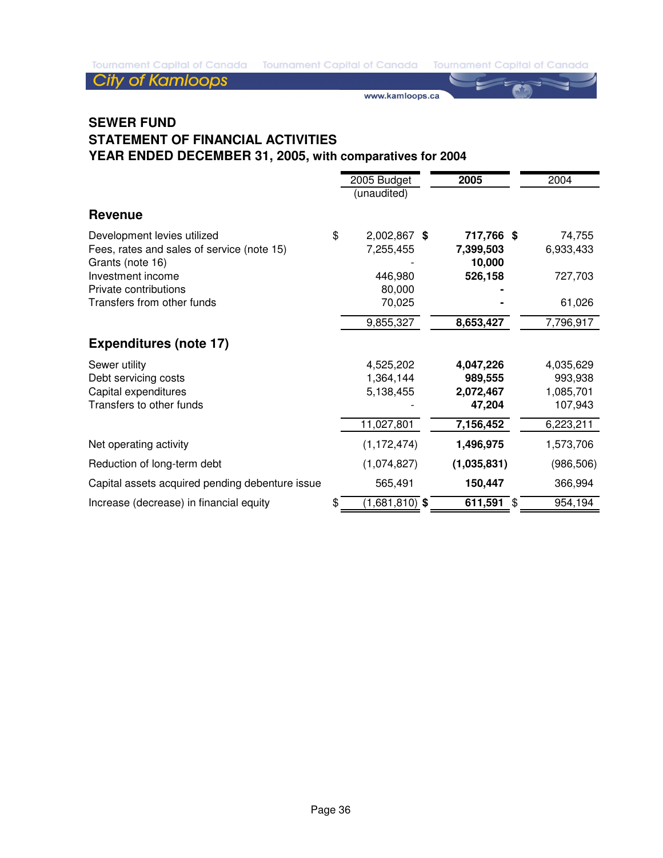Tournament Capital of Canada Tournament Capital of Canada Tournament Capital of Canada

**City of Kamloops** 

www.kamloops.ca

## **SEWER FUND STATEMENT OF FINANCIAL ACTIVITIES YEAR ENDED DECEMBER 31, 2005, with comparatives for 2004**

|                                                                                               | 2005 Budget<br>(unaudited)                        | 2005                                                     | 2004                                                      |
|-----------------------------------------------------------------------------------------------|---------------------------------------------------|----------------------------------------------------------|-----------------------------------------------------------|
| <b>Revenue</b>                                                                                |                                                   |                                                          |                                                           |
| Development levies utilized<br>Fees, rates and sales of service (note 15)<br>Grants (note 16) | \$<br>2,002,867 \$<br>7,255,455                   | 717,766 \$<br>7,399,503<br>10,000                        | 74,755<br>6,933,433                                       |
| Investment income<br>Private contributions                                                    | 446,980<br>80,000                                 | 526,158                                                  | 727,703                                                   |
| Transfers from other funds                                                                    | 70,025<br>9,855,327                               | 8,653,427                                                | 61,026<br>7,796,917                                       |
| <b>Expenditures (note 17)</b>                                                                 |                                                   |                                                          |                                                           |
| Sewer utility<br>Debt servicing costs<br>Capital expenditures<br>Transfers to other funds     | 4,525,202<br>1,364,144<br>5,138,455<br>11,027,801 | 4,047,226<br>989,555<br>2,072,467<br>47,204<br>7,156,452 | 4,035,629<br>993,938<br>1,085,701<br>107,943<br>6,223,211 |
| Net operating activity                                                                        | (1, 172, 474)                                     | 1,496,975                                                | 1,573,706                                                 |
| Reduction of long-term debt                                                                   | (1,074,827)                                       | (1,035,831)                                              | (986, 506)                                                |
| Capital assets acquired pending debenture issue                                               | 565,491                                           | 150,447                                                  | 366,994                                                   |
| Increase (decrease) in financial equity                                                       | \$<br>$(1,681,810)$ \$                            | 611,591 $$$                                              | 954,194                                                   |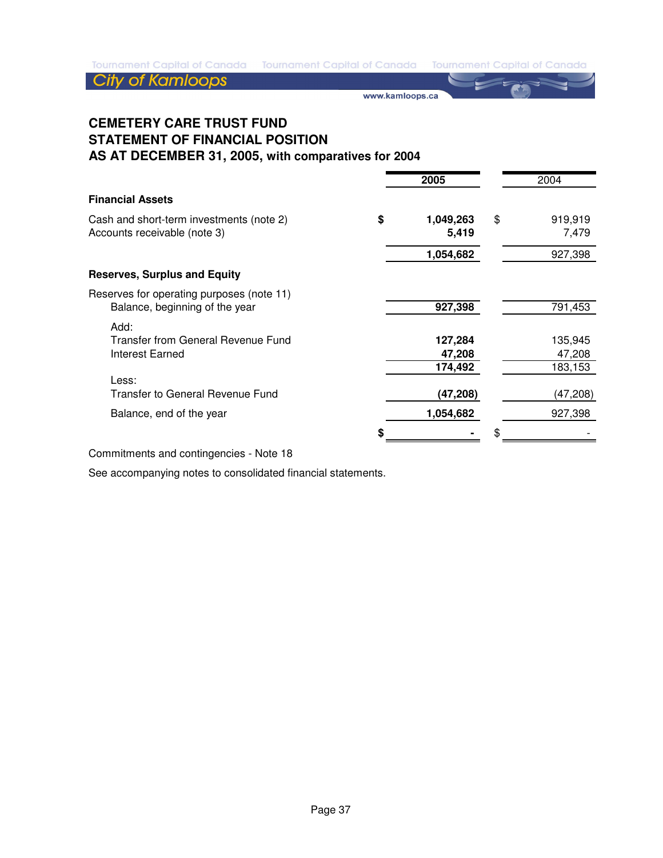www.kamloops.ca

## **CEMETERY CARE TRUST FUND STATEMENT OF FINANCIAL POSITION AS AT DECEMBER 31, 2005, with comparatives for 2004**

|                                                                             |   | 2005                 | 2004                   |
|-----------------------------------------------------------------------------|---|----------------------|------------------------|
| <b>Financial Assets</b>                                                     |   |                      |                        |
| Cash and short-term investments (note 2)<br>Accounts receivable (note 3)    | S | 1,049,263<br>5,419   | \$<br>919,919<br>7,479 |
|                                                                             |   | 1,054,682            | 927,398                |
| <b>Reserves, Surplus and Equity</b>                                         |   |                      |                        |
| Reserves for operating purposes (note 11)<br>Balance, beginning of the year |   | 927,398              | 791,453                |
| Add:<br>Transfer from General Revenue Fund<br>Interest Earned               |   | 127,284<br>47,208    | 135,945<br>47,208      |
| Less:<br><b>Transfer to General Revenue Fund</b>                            |   | 174,492<br>(47, 208) | 183,153<br>(47,208)    |
| Balance, end of the year                                                    |   | 1,054,682            | 927,398                |
|                                                                             |   |                      |                        |
|                                                                             |   |                      |                        |

Commitments and contingencies - Note 18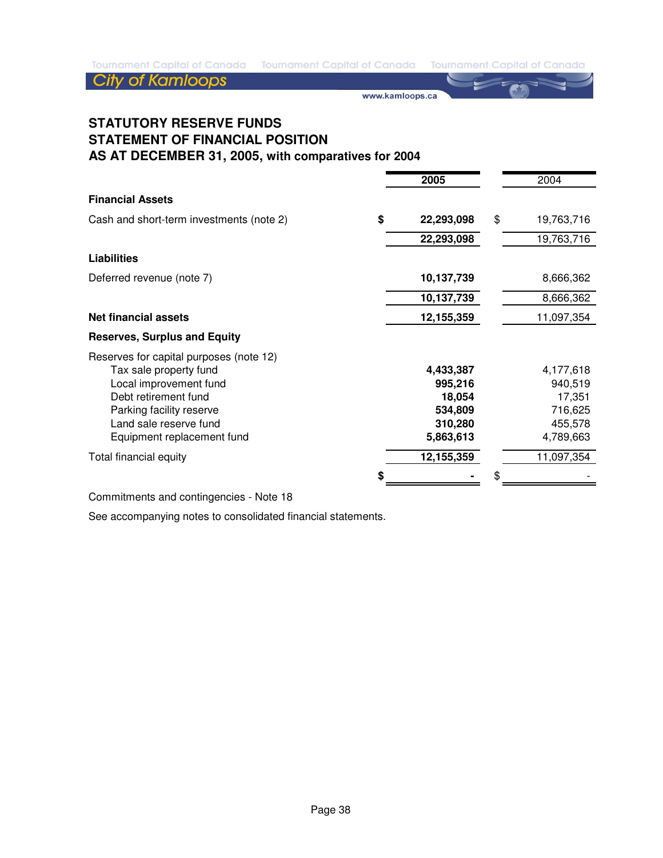www.kamloops.ca

## **STATUTORY RESERVE FUNDS STATEMENT OF FINANCIAL POSITION AS AT DECEMBER 31, 2005, with comparatives for 2004**

|                                          | 2005             | 2004             |
|------------------------------------------|------------------|------------------|
| <b>Financial Assets</b>                  |                  |                  |
| Cash and short-term investments (note 2) | \$<br>22,293,098 | \$<br>19,763,716 |
|                                          | 22,293,098       | 19,763,716       |
| <b>Liabilities</b>                       |                  |                  |
| Deferred revenue (note 7)                | 10,137,739       | 8,666,362        |
|                                          | 10,137,739       | 8,666,362        |
| <b>Net financial assets</b>              | 12,155,359       | 11,097,354       |
| <b>Reserves, Surplus and Equity</b>      |                  |                  |
| Reserves for capital purposes (note 12)  |                  |                  |
| Tax sale property fund                   | 4,433,387        | 4,177,618        |
| Local improvement fund                   | 995,216          | 940,519          |
| Debt retirement fund                     | 18,054           | 17,351           |
| Parking facility reserve                 | 534,809          | 716,625          |
| Land sale reserve fund                   | 310,280          | 455,578          |
| Equipment replacement fund               | 5,863,613        | 4,789,663        |
| Total financial equity                   | 12,155,359       | 11,097,354       |
|                                          |                  | \$               |

Commitments and contingencies - Note 18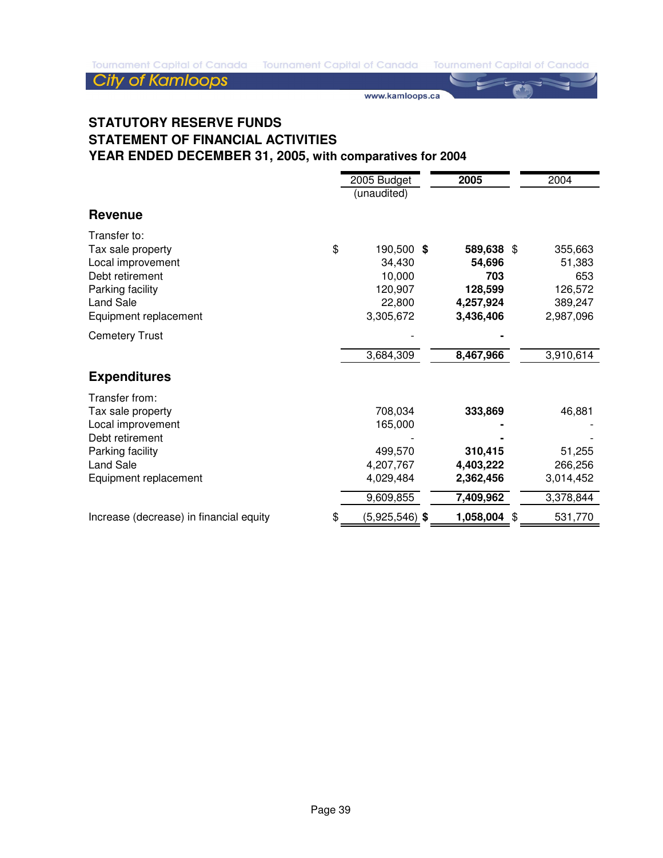Tournament Capital of Canada Tournament Capital of Canada Tournament Capital of Canada

# **City of Kamloops**

www.kamloops.ca

## **STATUTORY RESERVE FUNDS STATEMENT OF FINANCIAL ACTIVITIES YEAR ENDED DECEMBER 31, 2005, with comparatives for 2004**

|                                                                                                                                              | 2005 Budget<br>(unaudited) |                                                                      | 2005 |                                                                  | 2004 |                                                             |
|----------------------------------------------------------------------------------------------------------------------------------------------|----------------------------|----------------------------------------------------------------------|------|------------------------------------------------------------------|------|-------------------------------------------------------------|
| <b>Revenue</b>                                                                                                                               |                            |                                                                      |      |                                                                  |      |                                                             |
| Transfer to:<br>Tax sale property<br>Local improvement<br>Debt retirement<br>Parking facility<br><b>Land Sale</b><br>Equipment replacement   | \$                         | 190,500 \$<br>34,430<br>10,000<br>120,907<br>22,800<br>3,305,672     |      | 589,638 \$<br>54,696<br>703<br>128,599<br>4,257,924<br>3,436,406 |      | 355,663<br>51,383<br>653<br>126,572<br>389,247<br>2,987,096 |
| <b>Cemetery Trust</b>                                                                                                                        |                            |                                                                      |      |                                                                  |      |                                                             |
|                                                                                                                                              |                            | 3,684,309                                                            |      | 8,467,966                                                        |      | 3,910,614                                                   |
| <b>Expenditures</b>                                                                                                                          |                            |                                                                      |      |                                                                  |      |                                                             |
| Transfer from:<br>Tax sale property<br>Local improvement<br>Debt retirement<br>Parking facility<br><b>Land Sale</b><br>Equipment replacement |                            | 708,034<br>165,000<br>499,570<br>4,207,767<br>4,029,484<br>9,609,855 |      | 333,869<br>310,415<br>4,403,222<br>2,362,456<br>7,409,962        |      | 46,881<br>51,255<br>266,256<br>3,014,452<br>3,378,844       |
| Increase (decrease) in financial equity                                                                                                      | \$                         | $(5,925,546)$ \$                                                     |      | 1,058,004                                                        | \$   | 531,770                                                     |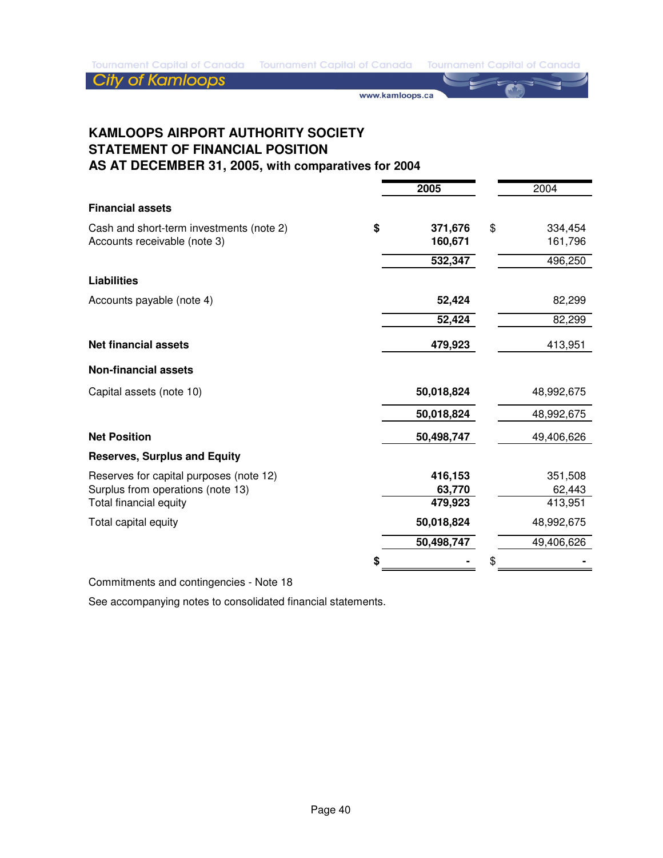**City of Kamloops** 

www.kamloops.ca

**KAMLOOPS AIRPORT AUTHORITY SOCIETY STATEMENT OF FINANCIAL POSITION AS AT DECEMBER 31, 2005, with comparatives for 2004**

|                                          | 2005          | 2004          |
|------------------------------------------|---------------|---------------|
| <b>Financial assets</b>                  |               |               |
| Cash and short-term investments (note 2) | \$<br>371,676 | \$<br>334,454 |
| Accounts receivable (note 3)             | 160,671       | 161,796       |
|                                          | 532,347       | 496,250       |
| <b>Liabilities</b>                       |               |               |
| Accounts payable (note 4)                | 52,424        | 82,299        |
|                                          | 52,424        | 82,299        |
| <b>Net financial assets</b>              | 479,923       | 413,951       |
| <b>Non-financial assets</b>              |               |               |
| Capital assets (note 10)                 | 50,018,824    | 48,992,675    |
|                                          | 50,018,824    | 48,992,675    |
| <b>Net Position</b>                      | 50,498,747    | 49,406,626    |
| <b>Reserves, Surplus and Equity</b>      |               |               |
| Reserves for capital purposes (note 12)  | 416,153       | 351,508       |
| Surplus from operations (note 13)        | 63,770        | 62,443        |
| Total financial equity                   | 479,923       | 413,951       |
| Total capital equity                     | 50,018,824    | 48,992,675    |
|                                          | 50,498,747    | 49,406,626    |
|                                          |               |               |

Commitments and contingencies - Note 18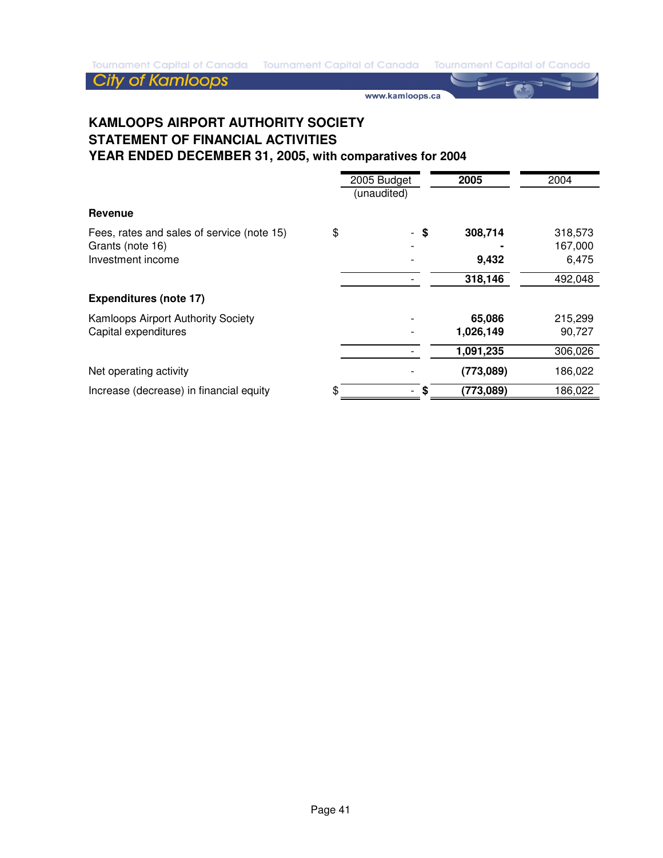www.kamloops.ca

## **KAMLOOPS AIRPORT AUTHORITY SOCIETY STATEMENT OF FINANCIAL ACTIVITIES YEAR ENDED DECEMBER 31, 2005, with comparatives for 2004**

|                                                                                     |    | 2005 Budget<br>(unaudited) | 2005                | 2004                        |
|-------------------------------------------------------------------------------------|----|----------------------------|---------------------|-----------------------------|
| Revenue                                                                             |    |                            |                     |                             |
| Fees, rates and sales of service (note 15)<br>Grants (note 16)<br>Investment income | \$ | - \$                       | 308,714<br>9,432    | 318,573<br>167,000<br>6,475 |
|                                                                                     |    |                            | 318,146             | 492,048                     |
| <b>Expenditures (note 17)</b>                                                       |    |                            |                     |                             |
| Kamloops Airport Authority Society<br>Capital expenditures                          |    |                            | 65,086<br>1,026,149 | 215,299<br>90,727           |
|                                                                                     |    |                            | 1,091,235           | 306,026                     |
| Net operating activity                                                              |    |                            | (773,089)           | 186,022                     |
| Increase (decrease) in financial equity                                             | S  | S                          | (773,089)           | 186,022                     |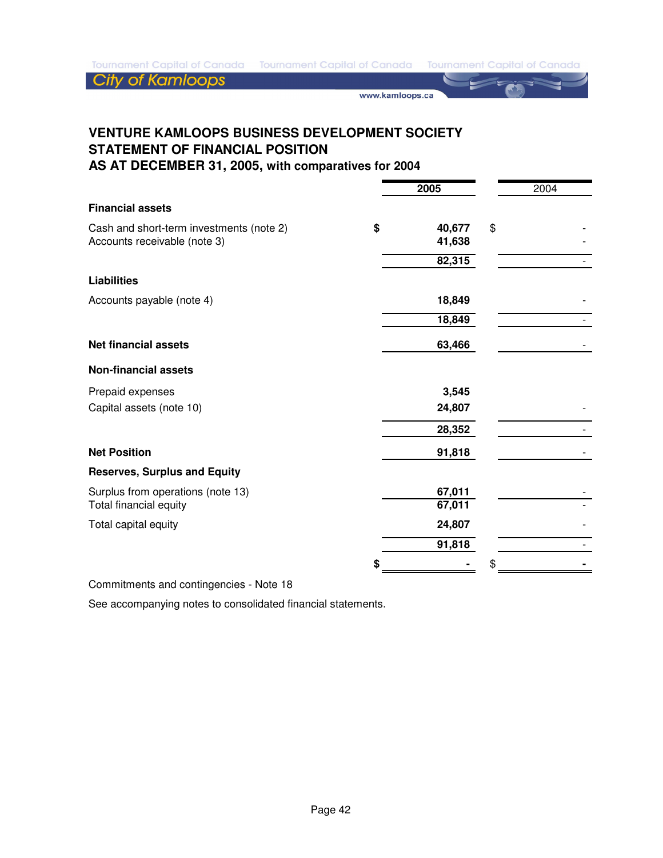**City of Kamloops** 

www.kamloops.ca

# **VENTURE KAMLOOPS BUSINESS DEVELOPMENT SOCIETY STATEMENT OF FINANCIAL POSITION**

**AS AT DECEMBER 31, 2005, with comparatives for 2004**

|                                          | 2005         | 2004 |
|------------------------------------------|--------------|------|
| <b>Financial assets</b>                  |              |      |
| Cash and short-term investments (note 2) | \$<br>40,677 | \$   |
| Accounts receivable (note 3)             | 41,638       |      |
|                                          | 82,315       |      |
| <b>Liabilities</b>                       |              |      |
| Accounts payable (note 4)                | 18,849       |      |
|                                          | 18,849       |      |
| <b>Net financial assets</b>              | 63,466       |      |
| <b>Non-financial assets</b>              |              |      |
| Prepaid expenses                         | 3,545        |      |
| Capital assets (note 10)                 | 24,807       |      |
|                                          | 28,352       |      |
| <b>Net Position</b>                      | 91,818       |      |
| <b>Reserves, Surplus and Equity</b>      |              |      |
| Surplus from operations (note 13)        | 67,011       |      |
| Total financial equity                   | 67,011       |      |
| Total capital equity                     | 24,807       |      |
|                                          | 91,818       |      |
|                                          |              | \$   |

Commitments and contingencies - Note 18